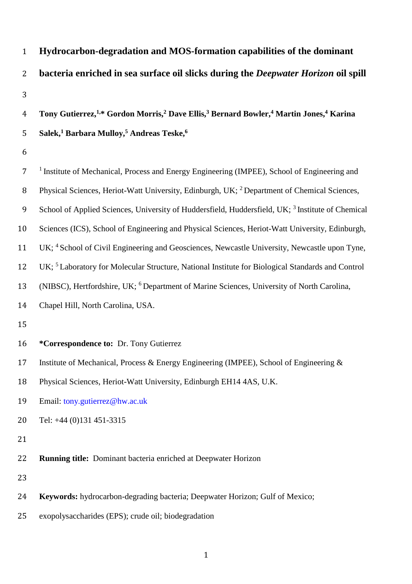| 2              | bacteria enriched in sea surface oil slicks during the <i>Deepwater Horizon</i> oil spill                                                          |
|----------------|----------------------------------------------------------------------------------------------------------------------------------------------------|
| 3              |                                                                                                                                                    |
| 4              | Tony Gutierrez, <sup>1,*</sup> Gordon Morris, <sup>2</sup> Dave Ellis, <sup>3</sup> Bernard Bowler, <sup>4</sup> Martin Jones, <sup>4</sup> Karina |
| 5              | Salek, <sup>1</sup> Barbara Mulloy, <sup>5</sup> Andreas Teske, <sup>6</sup>                                                                       |
| 6              |                                                                                                                                                    |
| $\overline{7}$ | <sup>1</sup> Institute of Mechanical, Process and Energy Engineering (IMPEE), School of Engineering and                                            |
| 8              | Physical Sciences, Heriot-Watt University, Edinburgh, UK; <sup>2</sup> Department of Chemical Sciences,                                            |
| 9              | School of Applied Sciences, University of Huddersfield, Huddersfield, UK; <sup>3</sup> Institute of Chemical                                       |
| 10             | Sciences (ICS), School of Engineering and Physical Sciences, Heriot-Watt University, Edinburgh,                                                    |
| 11             | UK; <sup>4</sup> School of Civil Engineering and Geosciences, Newcastle University, Newcastle upon Tyne,                                           |
| 12             | UK; <sup>5</sup> Laboratory for Molecular Structure, National Institute for Biological Standards and Control                                       |
| 13             | (NIBSC), Hertfordshire, UK; <sup>6</sup> Department of Marine Sciences, University of North Carolina,                                              |
| 14             | Chapel Hill, North Carolina, USA.                                                                                                                  |
| 15             |                                                                                                                                                    |
| 16             | *Correspondence to: Dr. Tony Gutierrez                                                                                                             |
| 17             | Institute of Mechanical, Process & Energy Engineering (IMPEE), School of Engineering &                                                             |
| 18             | Physical Sciences, Heriot-Watt University, Edinburgh EH14 4AS, U.K.                                                                                |
| 19             | Email: tony.gutierrez@hw.ac.uk                                                                                                                     |
| 20             | Tel: +44 (0)131 451-3315                                                                                                                           |
| 21             |                                                                                                                                                    |
| 22             | <b>Running title:</b> Dominant bacteria enriched at Deepwater Horizon                                                                              |
| 23             |                                                                                                                                                    |
| 24             | Keywords: hydrocarbon-degrading bacteria; Deepwater Horizon; Gulf of Mexico;                                                                       |
| 25             | exopolysaccharides (EPS); crude oil; biodegradation                                                                                                |

**Hydrocarbon-degradation and MOS-formation capabilities of the dominant**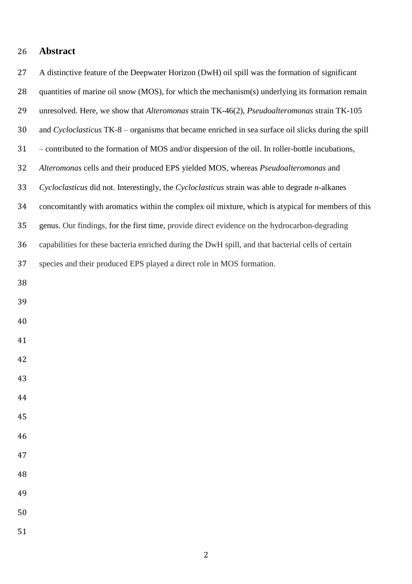## **Abstract**

| 27 | A distinctive feature of the Deepwater Horizon (DwH) oil spill was the formation of significant     |
|----|-----------------------------------------------------------------------------------------------------|
| 28 | quantities of marine oil snow (MOS), for which the mechanism(s) underlying its formation remain     |
| 29 | unresolved. Here, we show that Alteromonas strain TK-46(2), Pseudoalteromonas strain TK-105         |
| 30 | and Cycloclasticus TK-8 – organisms that became enriched in sea surface oil slicks during the spill |
| 31 | - contributed to the formation of MOS and/or dispersion of the oil. In roller-bottle incubations,   |
| 32 | Alteromonas cells and their produced EPS yielded MOS, whereas Pseudoalteromonas and                 |
| 33 | Cycloclasticus did not. Interestingly, the Cycloclasticus strain was able to degrade n-alkanes      |
| 34 | concomitantly with aromatics within the complex oil mixture, which is atypical for members of this  |
| 35 | genus. Our findings, for the first time, provide direct evidence on the hydrocarbon-degrading       |
| 36 | capabilities for these bacteria enriched during the DwH spill, and that bacterial cells of certain  |
| 37 | species and their produced EPS played a direct role in MOS formation.                               |
| 38 |                                                                                                     |
| 39 |                                                                                                     |
| 40 |                                                                                                     |
| 41 |                                                                                                     |
| 42 |                                                                                                     |
| 43 |                                                                                                     |
| 44 |                                                                                                     |
| 45 |                                                                                                     |
| 46 |                                                                                                     |
| 47 |                                                                                                     |
| 48 |                                                                                                     |
| 49 |                                                                                                     |
| 50 |                                                                                                     |
| 51 |                                                                                                     |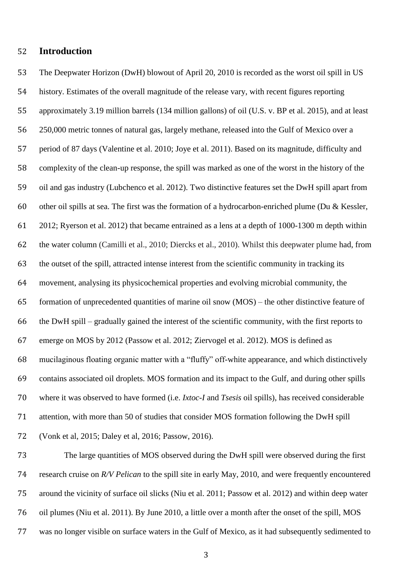### **Introduction**

 The Deepwater Horizon (DwH) blowout of April 20, 2010 is recorded as the worst oil spill in US history. Estimates of the overall magnitude of the release vary, with recent figures reporting approximately 3.19 million barrels (134 million gallons) of oil (U.S. v. BP et al. 2015), and at least 250,000 metric tonnes of natural gas, largely methane, released into the Gulf of Mexico over a period of 87 days (Valentine et al. 2010; Joye et al. 2011). Based on its magnitude, difficulty and complexity of the clean-up response, the spill was marked as one of the worst in the history of the oil and gas industry (Lubchenco et al. 2012). Two distinctive features set the DwH spill apart from other oil spills at sea. The first was the formation of a hydrocarbon-enriched plume (Du & Kessler, 2012; Ryerson et al. 2012) that became entrained as a lens at a depth of 1000-1300 m depth within the water column (Camilli et al., 2010; Diercks et al., 2010). Whilst this deepwater plume had, from the outset of the spill, attracted intense interest from the scientific community in tracking its movement, analysing its physicochemical properties and evolving microbial community, the formation of unprecedented quantities of marine oil snow (MOS) – the other distinctive feature of the DwH spill – gradually gained the interest of the scientific community, with the first reports to emerge on MOS by 2012 (Passow et al. 2012; Ziervogel et al. 2012). MOS is defined as mucilaginous floating organic matter with a "fluffy" off-white appearance, and which distinctively contains associated oil droplets. MOS formation and its impact to the Gulf, and during other spills where it was observed to have formed (i.e. *Ixtoc-I* and *Tsesis* oil spills), has received considerable attention, with more than 50 of studies that consider MOS formation following the DwH spill (Vonk et al, 2015; Daley et al, 2016; Passow, 2016). The large quantities of MOS observed during the DwH spill were observed during the first research cruise on *R/V Pelican* to the spill site in early May, 2010, and were frequently encountered

around the vicinity of surface oil slicks (Niu et al. 2011; Passow et al. 2012) and within deep water

oil plumes (Niu et al. 2011). By June 2010, a little over a month after the onset of the spill, MOS

was no longer visible on surface waters in the Gulf of Mexico, as it had subsequently sedimented to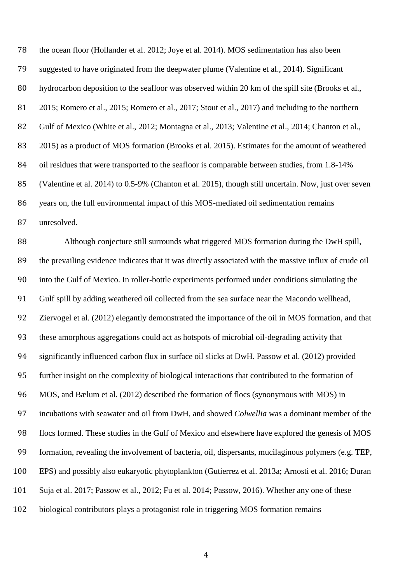the ocean floor (Hollander et al. 2012; Joye et al. 2014). MOS sedimentation has also been suggested to have originated from the deepwater plume (Valentine et al., 2014). Significant 80 hydrocarbon deposition to the seafloor was observed within 20 km of the spill site (Brooks et al., 2015; Romero et al., 2015; Romero et al., 2017; Stout et al., 2017) and including to the northern Gulf of Mexico (White et al., 2012; Montagna et al., 2013; Valentine et al., 2014; Chanton et al., 2015) as a product of MOS formation (Brooks et al. 2015). Estimates for the amount of weathered oil residues that were transported to the seafloor is comparable between studies, from 1.8-14% (Valentine et al. 2014) to 0.5-9% (Chanton et al. 2015), though still uncertain. Now, just over seven years on, the full environmental impact of this MOS-mediated oil sedimentation remains unresolved.

 Although conjecture still surrounds what triggered MOS formation during the DwH spill, the prevailing evidence indicates that it was directly associated with the massive influx of crude oil into the Gulf of Mexico. In roller-bottle experiments performed under conditions simulating the Gulf spill by adding weathered oil collected from the sea surface near the Macondo wellhead, Ziervogel et al. (2012) elegantly demonstrated the importance of the oil in MOS formation, and that these amorphous aggregations could act as hotspots of microbial oil-degrading activity that significantly influenced carbon flux in surface oil slicks at DwH. Passow et al. (2012) provided further insight on the complexity of biological interactions that contributed to the formation of MOS, and Bælum et al. (2012) described the formation of flocs (synonymous with MOS) in incubations with seawater and oil from DwH, and showed *Colwellia* was a dominant member of the flocs formed. These studies in the Gulf of Mexico and elsewhere have explored the genesis of MOS formation, revealing the involvement of bacteria, oil, dispersants, mucilaginous polymers (e.g. TEP, EPS) and possibly also eukaryotic phytoplankton (Gutierrez et al. 2013a; Arnosti et al. 2016; Duran Suja et al. 2017; Passow et al., 2012; Fu et al. 2014; Passow, 2016). Whether any one of these biological contributors plays a protagonist role in triggering MOS formation remains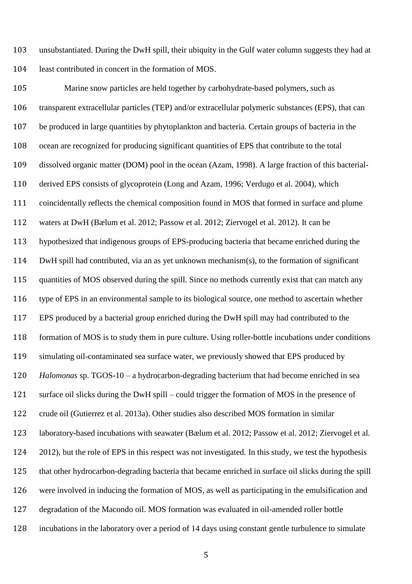unsubstantiated. During the DwH spill, their ubiquity in the Gulf water column suggests they had at least contributed in concert in the formation of MOS.

 Marine snow particles are held together by carbohydrate-based polymers, such as transparent extracellular particles (TEP) and/or extracellular polymeric substances (EPS), that can be produced in large quantities by phytoplankton and bacteria. Certain groups of bacteria in the ocean are recognized for producing significant quantities of EPS that contribute to the total dissolved organic matter (DOM) pool in the ocean (Azam, 1998). A large fraction of this bacterial- derived EPS consists of glycoprotein (Long and Azam, 1996; Verdugo et al. 2004), which coincidentally reflects the chemical composition found in MOS that formed in surface and plume waters at DwH (Bælum et al. 2012; Passow et al. 2012; Ziervogel et al. 2012). It can be hypothesized that indigenous groups of EPS-producing bacteria that became enriched during the DwH spill had contributed, via an as yet unknown mechanism(s), to the formation of significant 115 quantities of MOS observed during the spill. Since no methods currently exist that can match any type of EPS in an environmental sample to its biological source, one method to ascertain whether EPS produced by a bacterial group enriched during the DwH spill may had contributed to the formation of MOS is to study them in pure culture. Using roller-bottle incubations under conditions simulating oil-contaminated sea surface water, we previously showed that EPS produced by *Halomonas* sp. TGOS-10 – a hydrocarbon-degrading bacterium that had become enriched in sea surface oil slicks during the DwH spill – could trigger the formation of MOS in the presence of crude oil (Gutierrez et al. 2013a). Other studies also described MOS formation in similar laboratory-based incubations with seawater (Bælum et al. 2012; Passow et al. 2012; Ziervogel et al. 2012), but the role of EPS in this respect was not investigated. In this study, we test the hypothesis that other hydrocarbon-degrading bacteria that became enriched in surface oil slicks during the spill were involved in inducing the formation of MOS, as well as participating in the emulsification and degradation of the Macondo oil. MOS formation was evaluated in oil-amended roller bottle incubations in the laboratory over a period of 14 days using constant gentle turbulence to simulate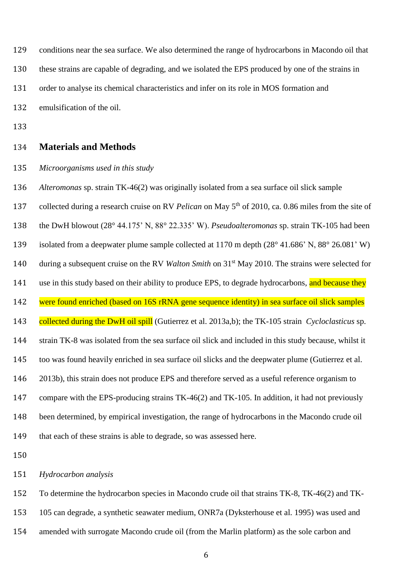- conditions near the sea surface. We also determined the range of hydrocarbons in Macondo oil that
- these strains are capable of degrading, and we isolated the EPS produced by one of the strains in
- order to analyse its chemical characteristics and infer on its role in MOS formation and
- emulsification of the oil.
- 

#### **Materials and Methods**

*Microorganisms used in this study*

 *Alteromonas* sp. strain TK-46(2) was originally isolated from a sea surface oil slick sample 137 collected during a research cruise on RV *Pelican* on May 5<sup>th</sup> of 2010, ca. 0.86 miles from the site of the DwH blowout (28° 44.175' N, 88° 22.335' W). *Pseudoalteromonas* sp. strain TK-105 had been isolated from a deepwater plume sample collected at 1170 m depth (28° 41.686' N, 88° 26.081' W) 140 during a subsequent cruise on the RV *Walton Smith* on 31<sup>st</sup> May 2010. The strains were selected for 141 use in this study based on their ability to produce EPS, to degrade hydrocarbons, and because they were found enriched (based on 16S rRNA gene sequence identity) in sea surface oil slick samples collected during the DwH oil spill (Gutierrez et al. 2013a,b); the TK-105 strain *Cycloclasticus* sp. strain TK-8 was isolated from the sea surface oil slick and included in this study because, whilst it too was found heavily enriched in sea surface oil slicks and the deepwater plume (Gutierrez et al. 2013b), this strain does not produce EPS and therefore served as a useful reference organism to compare with the EPS-producing strains TK-46(2) and TK-105. In addition, it had not previously been determined, by empirical investigation, the range of hydrocarbons in the Macondo crude oil 149 that each of these strains is able to degrade, so was assessed here.

*Hydrocarbon analysis*

To determine the hydrocarbon species in Macondo crude oil that strains TK-8, TK-46(2) and TK-

105 can degrade, a synthetic seawater medium, ONR7a (Dyksterhouse et al. 1995) was used and

amended with surrogate Macondo crude oil (from the Marlin platform) as the sole carbon and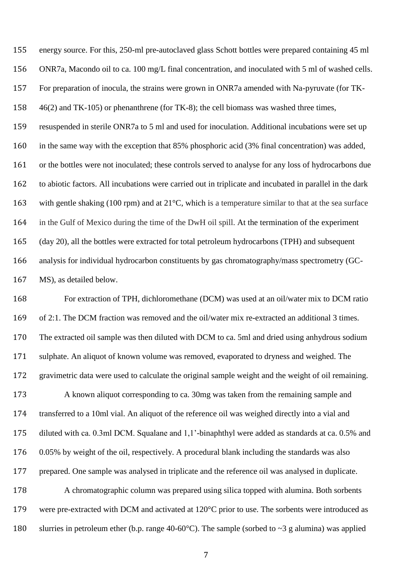energy source. For this, 250-ml pre-autoclaved glass Schott bottles were prepared containing 45 ml ONR7a, Macondo oil to ca. 100 mg/L final concentration, and inoculated with 5 ml of washed cells. For preparation of inocula, the strains were grown in ONR7a amended with Na-pyruvate (for TK- 46(2) and TK-105) or phenanthrene (for TK-8); the cell biomass was washed three times, resuspended in sterile ONR7a to 5 ml and used for inoculation. Additional incubations were set up in the same way with the exception that 85% phosphoric acid (3% final concentration) was added, or the bottles were not inoculated; these controls served to analyse for any loss of hydrocarbons due to abiotic factors. All incubations were carried out in triplicate and incubated in parallel in the dark 163 with gentle shaking (100 rpm) and at 21<sup>o</sup>C, which is a temperature similar to that at the sea surface in the Gulf of Mexico during the time of the DwH oil spill. At the termination of the experiment (day 20), all the bottles were extracted for total petroleum hydrocarbons (TPH) and subsequent analysis for individual hydrocarbon constituents by gas chromatography/mass spectrometry (GC-MS), as detailed below.

 For extraction of TPH, dichloromethane (DCM) was used at an oil/water mix to DCM ratio of 2:1. The DCM fraction was removed and the oil/water mix re-extracted an additional 3 times. The extracted oil sample was then diluted with DCM to ca. 5ml and dried using anhydrous sodium sulphate. An aliquot of known volume was removed, evaporated to dryness and weighed. The gravimetric data were used to calculate the original sample weight and the weight of oil remaining. A known aliquot corresponding to ca. 30mg was taken from the remaining sample and transferred to a 10ml vial. An aliquot of the reference oil was weighed directly into a vial and diluted with ca. 0.3ml DCM. Squalane and 1,1'-binaphthyl were added as standards at ca. 0.5% and 0.05% by weight of the oil, respectively. A procedural blank including the standards was also prepared. One sample was analysed in triplicate and the reference oil was analysed in duplicate. A chromatographic column was prepared using silica topped with alumina. Both sorbents 179 were pre-extracted with DCM and activated at 120°C prior to use. The sorbents were introduced as slurries in petroleum ether (b.p. range 40-60°C). The sample (sorbed to ~3 g alumina) was applied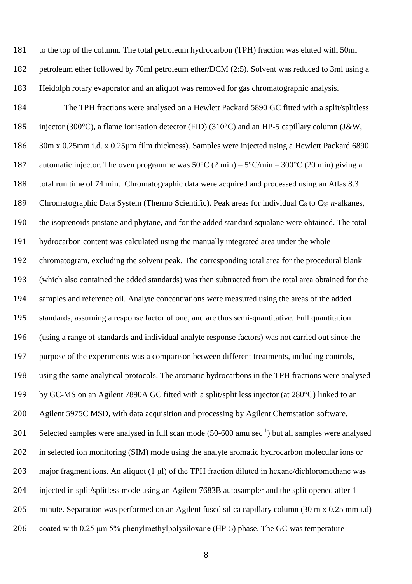to the top of the column. The total petroleum hydrocarbon (TPH) fraction was eluted with 50ml petroleum ether followed by 70ml petroleum ether/DCM (2:5). Solvent was reduced to 3ml using a Heidolph rotary evaporator and an aliquot was removed for gas chromatographic analysis. The TPH fractions were analysed on a Hewlett Packard 5890 GC fitted with a split/splitless injector (300°C), a flame ionisation detector (FID) (310°C) and an HP-5 capillary column (J&W, 30m x 0.25mm i.d. x 0.25µm film thickness). Samples were injected using a Hewlett Packard 6890 187 automatic injector. The oven programme was  $50^{\circ}$ C (2 min) –  $5^{\circ}$ C/min – 300°C (20 min) giving a total run time of 74 min. Chromatographic data were acquired and processed using an Atlas 8.3 189 Chromatographic Data System (Thermo Scientific). Peak areas for individual C<sub>8</sub> to C<sub>35</sub> *n*-alkanes, the isoprenoids pristane and phytane, and for the added standard squalane were obtained. The total hydrocarbon content was calculated using the manually integrated area under the whole chromatogram, excluding the solvent peak. The corresponding total area for the procedural blank (which also contained the added standards) was then subtracted from the total area obtained for the samples and reference oil. Analyte concentrations were measured using the areas of the added standards, assuming a response factor of one, and are thus semi-quantitative. Full quantitation (using a range of standards and individual analyte response factors) was not carried out since the purpose of the experiments was a comparison between different treatments, including controls, using the same analytical protocols. The aromatic hydrocarbons in the TPH fractions were analysed by GC-MS on an Agilent 7890A GC fitted with a split/split less injector (at 280°C) linked to an Agilent 5975C MSD, with data acquisition and processing by Agilent Chemstation software. 201 Selected samples were analysed in full scan mode  $(50-600 \text{ amu sec}^{-1})$  but all samples were analysed in selected ion monitoring (SIM) mode using the analyte aromatic hydrocarbon molecular ions or 203 major fragment ions. An aliquot  $(1 \mu l)$  of the TPH fraction diluted in hexane/dichloromethane was injected in split/splitless mode using an Agilent 7683B autosampler and the split opened after 1 minute. Separation was performed on an Agilent fused silica capillary column (30 m x 0.25 mm i.d) coated with 0.25 μm 5% phenylmethylpolysiloxane (HP-5) phase. The GC was temperature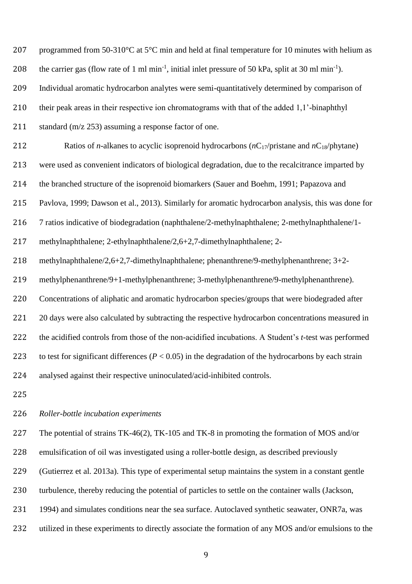| 207 | programmed from 50-310°C at 5°C min and held at final temperature for 10 minutes with helium as                              |
|-----|------------------------------------------------------------------------------------------------------------------------------|
| 208 | the carrier gas (flow rate of 1 ml min <sup>-1</sup> , initial inlet pressure of 50 kPa, split at 30 ml min <sup>-1</sup> ). |
| 209 | Individual aromatic hydrocarbon analytes were semi-quantitatively determined by comparison of                                |
| 210 | their peak areas in their respective ion chromatograms with that of the added 1,1'-binaphthyl                                |
| 211 | standard (m/z 253) assuming a response factor of one.                                                                        |
| 212 | Ratios of <i>n</i> -alkanes to acyclic isoprenoid hydrocarbons ( $nC_{17}/\text{pristance}$ and $nC_{18}/\text{phytane}$ )   |
| 213 | were used as convenient indicators of biological degradation, due to the recalcitrance imparted by                           |
| 214 | the branched structure of the isoprenoid biomarkers (Sauer and Boehm, 1991; Papazova and                                     |
| 215 | Pavlova, 1999; Dawson et al., 2013). Similarly for aromatic hydrocarbon analysis, this was done for                          |
| 216 | 7 ratios indicative of biodegradation (naphthalene/2-methylnaphthalene; 2-methylnaphthalene/1-                               |
| 217 | methylnaphthalene; 2-ethylnaphthalene/2,6+2,7-dimethylnaphthalene; 2-                                                        |
| 218 | methylnaphthalene/2,6+2,7-dimethylnaphthalene; phenanthrene/9-methylphenanthrene; 3+2-                                       |
| 219 | methylphenanthrene/9+1-methylphenanthrene; 3-methylphenanthrene/9-methylphenanthrene).                                       |
| 220 | Concentrations of aliphatic and aromatic hydrocarbon species/groups that were biodegraded after                              |
| 221 | 20 days were also calculated by subtracting the respective hydrocarbon concentrations measured in                            |
| 222 | the acidified controls from those of the non-acidified incubations. A Student's t-test was performed                         |
| 223 | to test for significant differences ( $P < 0.05$ ) in the degradation of the hydrocarbons by each strain                     |
| 224 | analysed against their respective uninoculated/acid-inhibited controls.                                                      |
| 225 |                                                                                                                              |

### *Roller-bottle incubation experiments*

 The potential of strains TK-46(2), TK-105 and TK-8 in promoting the formation of MOS and/or emulsification of oil was investigated using a roller-bottle design, as described previously (Gutierrez et al. 2013a). This type of experimental setup maintains the system in a constant gentle turbulence, thereby reducing the potential of particles to settle on the container walls (Jackson,

231 1994) and simulates conditions near the sea surface. Autoclaved synthetic seawater, ONR7a, was

utilized in these experiments to directly associate the formation of any MOS and/or emulsions to the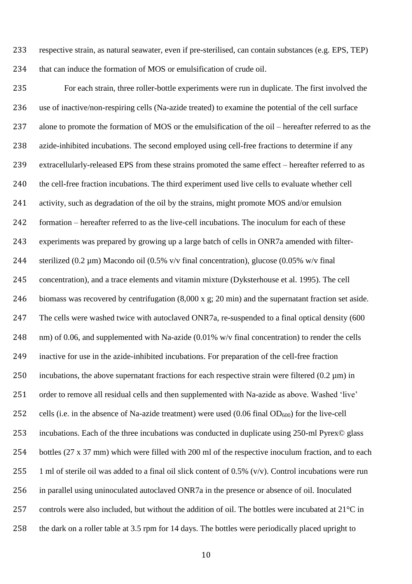respective strain, as natural seawater, even if pre-sterilised, can contain substances (e.g. EPS, TEP) 234 that can induce the formation of MOS or emulsification of crude oil.

 For each strain, three roller-bottle experiments were run in duplicate. The first involved the use of inactive/non-respiring cells (Na-azide treated) to examine the potential of the cell surface alone to promote the formation of MOS or the emulsification of the oil – hereafter referred to as the azide-inhibited incubations. The second employed using cell-free fractions to determine if any extracellularly-released EPS from these strains promoted the same effect – hereafter referred to as the cell-free fraction incubations. The third experiment used live cells to evaluate whether cell activity, such as degradation of the oil by the strains, might promote MOS and/or emulsion formation – hereafter referred to as the live-cell incubations. The inoculum for each of these experiments was prepared by growing up a large batch of cells in ONR7a amended with filter-244 sterilized (0.2  $\mu$ m) Macondo oil (0.5% v/v final concentration), glucose (0.05% w/v final concentration), and a trace elements and vitamin mixture (Dyksterhouse et al. 1995). The cell biomass was recovered by centrifugation (8,000 x g; 20 min) and the supernatant fraction set aside. 247 The cells were washed twice with autoclaved ONR7a, re-suspended to a final optical density (600) 248 nm) of 0.06, and supplemented with Na-azide (0.01% w/v final concentration) to render the cells inactive for use in the azide-inhibited incubations. For preparation of the cell-free fraction 250 incubations, the above supernatant fractions for each respective strain were filtered  $(0.2 \mu m)$  in 251 order to remove all residual cells and then supplemented with Na-azide as above. Washed 'live' 252 cells (i.e. in the absence of Na-azide treatment) were used  $(0.06$  final  $OD<sub>600</sub>)$  for the live-cell incubations. Each of the three incubations was conducted in duplicate using 250-ml Pyrex© glass bottles (27 x 37 mm) which were filled with 200 ml of the respective inoculum fraction, and to each 255 1 ml of sterile oil was added to a final oil slick content of 0.5% ( $v/v$ ). Control incubations were run in parallel using uninoculated autoclaved ONR7a in the presence or absence of oil. Inoculated 257 controls were also included, but without the addition of oil. The bottles were incubated at 21<sup>°</sup>C in the dark on a roller table at 3.5 rpm for 14 days. The bottles were periodically placed upright to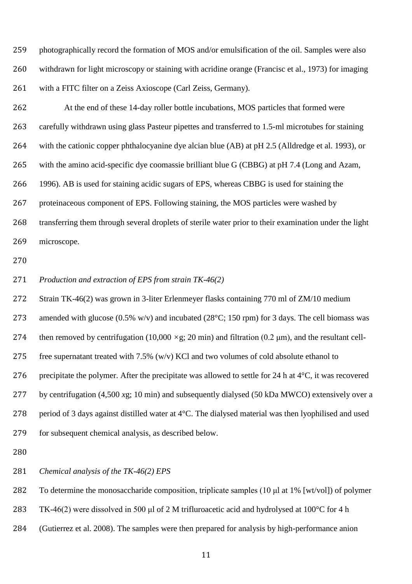photographically record the formation of MOS and/or emulsification of the oil. Samples were also withdrawn for light microscopy or staining with acridine orange (Francisc et al., 1973) for imaging with a FITC filter on a Zeiss Axioscope (Carl Zeiss, Germany).

 At the end of these 14-day roller bottle incubations, MOS particles that formed were carefully withdrawn using glass Pasteur pipettes and transferred to 1.5-ml microtubes for staining with the cationic copper phthalocyanine dye alcian blue (AB) at pH 2.5 (Alldredge et al. 1993), or with the amino acid-specific dye coomassie brilliant blue G (CBBG) at pH 7.4 (Long and Azam, 1996). AB is used for staining acidic sugars of EPS, whereas CBBG is used for staining the proteinaceous component of EPS. Following staining, the MOS particles were washed by transferring them through several droplets of sterile water prior to their examination under the light microscope.

*Production and extraction of EPS from strain TK-46(2)*

Strain TK-46(2) was grown in 3-liter Erlenmeyer flasks containing 770 ml of ZM/10 medium

273 amended with glucose  $(0.5\% \text{ w/v})$  and incubated  $(28\degree C; 150 \text{ rpm})$  for 3 days. The cell biomass was

then removed by centrifugation (10,000 *×*g; 20 min) and filtration (0.2 μm), and the resultant cell-

free supernatant treated with 7.5% (w/v) KCl and two volumes of cold absolute ethanol to

276 precipitate the polymer. After the precipitate was allowed to settle for 24 h at  $4^{\circ}$ C, it was recovered

by centrifugation (4,500 *x*g; 10 min) and subsequently dialysed (50 kDa MWCO) extensively over a

period of 3 days against distilled water at 4°C. The dialysed material was then lyophilised and used

for subsequent chemical analysis, as described below.

*Chemical analysis of the TK-46(2) EPS*

To determine the monosaccharide composition, triplicate samples (10 μl at 1% [wt/vol]) of polymer

TK-46(2) were dissolved in 500 μl of 2 M trifluroacetic acid and hydrolysed at 100°C for 4 h

(Gutierrez et al. 2008). The samples were then prepared for analysis by high-performance anion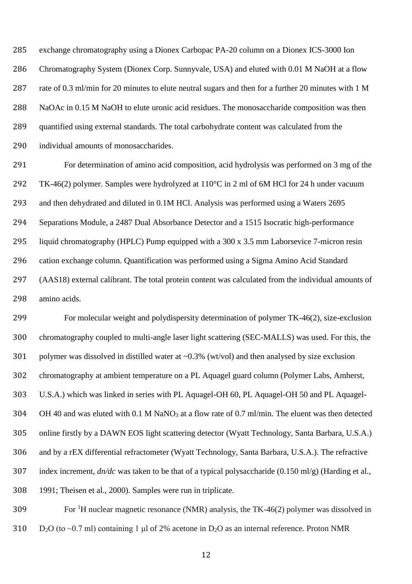exchange chromatography using a Dionex Carbopac PA-20 column on a Dionex ICS-3000 Ion Chromatography System (Dionex Corp. Sunnyvale, USA) and eluted with 0.01 M NaOH at a flow rate of 0.3 ml/min for 20 minutes to elute neutral sugars and then for a further 20 minutes with 1 M NaOAc in 0.15 M NaOH to elute uronic acid residues. The monosaccharide composition was then quantified using external standards. The total carbohydrate content was calculated from the individual amounts of monosaccharides.

 For determination of amino acid composition, acid hydrolysis was performed on 3 mg of the TK-46(2) polymer. Samples were hydrolyzed at 110°C in 2 ml of 6M HCl for 24 h under vacuum and then dehydrated and diluted in 0.1M HCl. Analysis was performed using a Waters 2695 Separations Module, a 2487 Dual Absorbance Detector and a 1515 Isocratic high-performance liquid chromatography (HPLC) Pump equipped with a 300 x 3.5 mm Laborsevice 7-micron resin cation exchange column. Quantification was performed using a Sigma Amino Acid Standard (AAS18) external calibrant. The total protein content was calculated from the individual amounts of amino acids.

 For molecular weight and polydispersity determination of polymer TK-46(2), size-exclusion chromatography coupled to multi-angle laser light scattering (SEC-MALLS) was used. For this, the polymer was dissolved in distilled water at ~0.3% (wt/vol) and then analysed by size exclusion chromatography at ambient temperature on a PL Aquagel guard column (Polymer Labs, Amherst, U.S.A.) which was linked in series with PL Aquagel-OH 60, PL Aquagel-OH 50 and PL Aquagel-304 OH 40 and was eluted with 0.1 M NaNO<sub>3</sub> at a flow rate of 0.7 ml/min. The eluent was then detected online firstly by a DAWN EOS light scattering detector (Wyatt Technology, Santa Barbara, U.S.A.) and by a rEX differential refractometer (Wyatt Technology, Santa Barbara, U.S.A.). The refractive index increment, *dn/dc* was taken to be that of a typical polysaccharide (0.150 ml/g) (Harding et al., 1991; Theisen et al., 2000). Samples were run in triplicate.

 For <sup>1</sup>H nuclear magnetic resonance (NMR) analysis, the TK-46(2) polymer was dissolved in 310 D<sub>2</sub>O (to  $\sim$  0.7 ml) containing 1 µl of 2% acetone in D<sub>2</sub>O as an internal reference. Proton NMR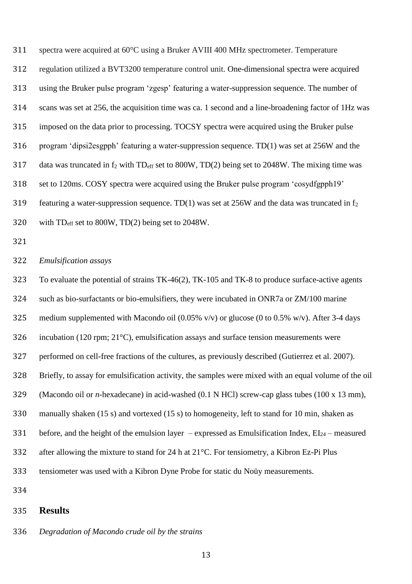| 311 | spectra were acquired at 60°C using a Bruker AVIII 400 MHz spectrometer. Temperature                          |
|-----|---------------------------------------------------------------------------------------------------------------|
| 312 | regulation utilized a BVT3200 temperature control unit. One-dimensional spectra were acquired                 |
| 313 | using the Bruker pulse program 'zgesp' featuring a water-suppression sequence. The number of                  |
| 314 | scans was set at 256, the acquisition time was ca. 1 second and a line-broadening factor of 1Hz was           |
| 315 | imposed on the data prior to processing. TOCSY spectra were acquired using the Bruker pulse                   |
| 316 | program 'dipsi2esgpph' featuring a water-suppression sequence. $TD(1)$ was set at 256W and the                |
| 317 | data was truncated in $f_2$ with TD <sub>eff</sub> set to 800W, TD(2) being set to 2048W. The mixing time was |
| 318 | set to 120ms. COSY spectra were acquired using the Bruker pulse program 'cosydfgpph19'                        |
| 319 | featuring a water-suppression sequence. TD(1) was set at $256W$ and the data was truncated in $f_2$           |
| 320 | with $TD_{\text{eff}}$ set to 800W, $TD(2)$ being set to 2048W.                                               |
| 321 |                                                                                                               |
| 322 | <b>Emulsification</b> assays                                                                                  |
| 323 | To evaluate the potential of strains TK-46(2), TK-105 and TK-8 to produce surface-active agents               |
| 324 | such as bio-surfactants or bio-emulsifiers, they were incubated in ONR7a or ZM/100 marine                     |
| 325 | medium supplemented with Macondo oil (0.05% $v/v$ ) or glucose (0 to 0.5% $w/v$ ). After 3-4 days             |
| 326 | incubation (120 rpm; $21^{\circ}$ C), emulsification assays and surface tension measurements were             |
| 327 | performed on cell-free fractions of the cultures, as previously described (Gutierrez et al. 2007).            |
| 328 | Briefly, to assay for emulsification activity, the samples were mixed with an equal volume of the oil         |
| 329 | (Macondo oil or n-hexadecane) in acid-washed (0.1 N HCl) screw-cap glass tubes (100 x 13 mm),                 |
| 330 | manually shaken (15 s) and vortexed (15 s) to homogeneity, left to stand for 10 min, shaken as                |
| 331 | before, and the height of the emulsion layer – expressed as Emulsification Index, $EI_{24}$ – measured        |
| 332 | after allowing the mixture to stand for 24 h at 21°C. For tensiometry, a Kibron Ez-Pi Plus                    |
| 333 | tensiometer was used with a Kibron Dyne Probe for static du Noüy measurements.                                |
| 334 |                                                                                                               |
|     |                                                                                                               |

# **Results**

## *Degradation of Macondo crude oil by the strains*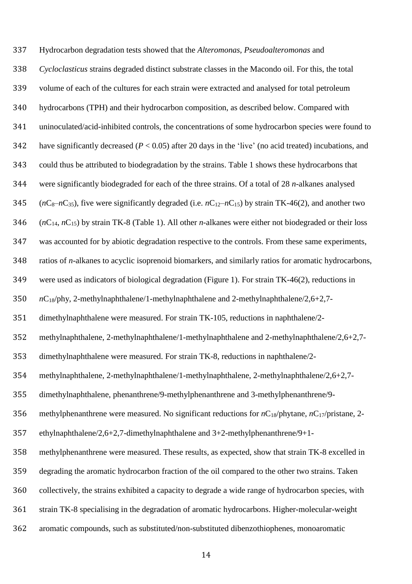| 337 | Hydrocarbon degradation tests showed that the Alteromonas, Pseudoalteromonas and                                  |
|-----|-------------------------------------------------------------------------------------------------------------------|
| 338 | Cycloclasticus strains degraded distinct substrate classes in the Macondo oil. For this, the total                |
| 339 | volume of each of the cultures for each strain were extracted and analysed for total petroleum                    |
| 340 | hydrocarbons (TPH) and their hydrocarbon composition, as described below. Compared with                           |
| 341 | uninoculated/acid-inhibited controls, the concentrations of some hydrocarbon species were found to                |
| 342 | have significantly decreased ( $P < 0.05$ ) after 20 days in the 'live' (no acid treated) incubations, and        |
| 343 | could thus be attributed to biodegradation by the strains. Table 1 shows these hydrocarbons that                  |
| 344 | were significantly biodegraded for each of the three strains. Of a total of $28$ <i>n</i> -alkanes analysed       |
| 345 | $(nC_8-nC_{35})$ , five were significantly degraded (i.e. $nC_{12}-nC_{15}$ ) by strain TK-46(2), and another two |
| 346 | $(nC14, nC15)$ by strain TK-8 (Table 1). All other <i>n</i> -alkanes were either not biodegraded or their loss    |
| 347 | was accounted for by abiotic degradation respective to the controls. From these same experiments,                 |
| 348 | ratios of <i>n</i> -alkanes to acyclic isoprenoid biomarkers, and similarly ratios for aromatic hydrocarbons,     |
| 349 | were used as indicators of biological degradation (Figure 1). For strain TK-46(2), reductions in                  |
| 350 | $nC_{18}/\text{phy}$ , 2-methylnaphthalene/1-methylnaphthalene and 2-methylnaphthalene/2,6+2,7-                   |
| 351 | dimethylnaphthalene were measured. For strain TK-105, reductions in naphthalene/2-                                |
| 352 | methylnaphthalene, 2-methylnaphthalene/1-methylnaphthalene and 2-methylnaphthalene/2,6+2,7-                       |
| 353 | dimethylnaphthalene were measured. For strain TK-8, reductions in naphthalene/2-                                  |
| 354 | methylnaphthalene, 2-methylnaphthalene/1-methylnaphthalene, 2-methylnaphthalene/2,6+2,7-                          |
| 355 | dimethylnaphthalene, phenanthrene/9-methylphenanthrene and 3-methylphenanthrene/9-                                |
| 356 | methylphenanthrene were measured. No significant reductions for $nC_{18}/ph$ ytane, $nC_{17}/pr$ istane, 2-       |
| 357 | ethylnaphthalene/2,6+2,7-dimethylnaphthalene and $3+2$ -methylphenanthrene/9+1-                                   |
| 358 | methylphenanthrene were measured. These results, as expected, show that strain TK-8 excelled in                   |
| 359 | degrading the aromatic hydrocarbon fraction of the oil compared to the other two strains. Taken                   |
| 360 | collectively, the strains exhibited a capacity to degrade a wide range of hydrocarbon species, with               |
| 361 | strain TK-8 specialising in the degradation of aromatic hydrocarbons. Higher-molecular-weight                     |
| 362 | aromatic compounds, such as substituted/non-substituted dibenzothiophenes, monoaromatic                           |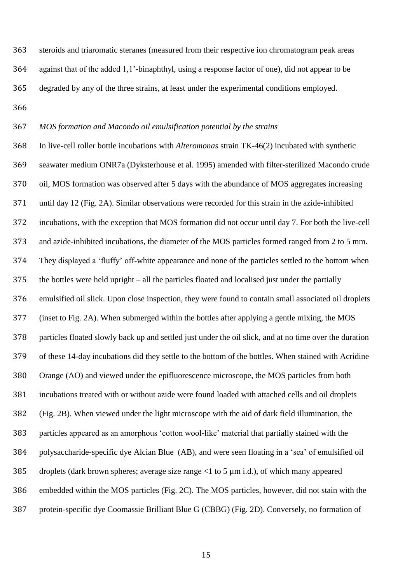steroids and triaromatic steranes (measured from their respective ion chromatogram peak areas against that of the added 1,1'-binaphthyl, using a response factor of one), did not appear to be degraded by any of the three strains, at least under the experimental conditions employed.

### *MOS formation and Macondo oil emulsification potential by the strains*

 In live-cell roller bottle incubations with *Alteromonas* strain TK-46(2) incubated with synthetic seawater medium ONR7a (Dyksterhouse et al. 1995) amended with filter-sterilized Macondo crude oil, MOS formation was observed after 5 days with the abundance of MOS aggregates increasing until day 12 (Fig. 2A). Similar observations were recorded for this strain in the azide-inhibited incubations, with the exception that MOS formation did not occur until day 7. For both the live-cell and azide-inhibited incubations, the diameter of the MOS particles formed ranged from 2 to 5 mm. They displayed a 'fluffy' off-white appearance and none of the particles settled to the bottom when the bottles were held upright – all the particles floated and localised just under the partially emulsified oil slick. Upon close inspection, they were found to contain small associated oil droplets (inset to Fig. 2A). When submerged within the bottles after applying a gentle mixing, the MOS particles floated slowly back up and settled just under the oil slick, and at no time over the duration of these 14-day incubations did they settle to the bottom of the bottles. When stained with Acridine Orange (AO) and viewed under the epifluorescence microscope, the MOS particles from both incubations treated with or without azide were found loaded with attached cells and oil droplets (Fig. 2B). When viewed under the light microscope with the aid of dark field illumination, the particles appeared as an amorphous 'cotton wool-like' material that partially stained with the polysaccharide-specific dye Alcian Blue (AB), and were seen floating in a 'sea' of emulsified oil 385 droplets (dark brown spheres; average size range  $\langle 1 \text{ to } 5 \mu \text{m i.d.} \rangle$ , of which many appeared embedded within the MOS particles (Fig. 2C). The MOS particles, however, did not stain with the protein-specific dye Coomassie Brilliant Blue G (CBBG) (Fig. 2D). Conversely, no formation of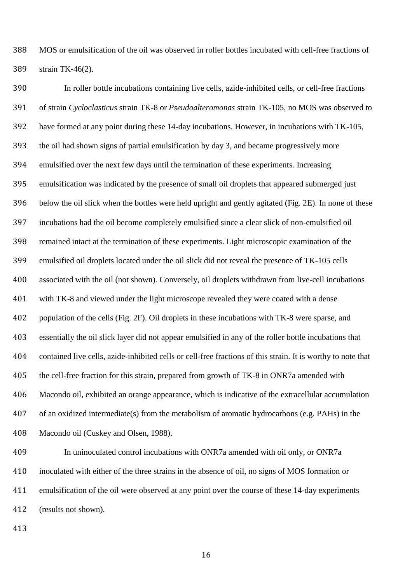MOS or emulsification of the oil was observed in roller bottles incubated with cell-free fractions of strain TK-46(2).

 In roller bottle incubations containing live cells, azide-inhibited cells, or cell-free fractions of strain *Cycloclasticus* strain TK-8 or *Pseudoalteromonas* strain TK-105, no MOS was observed to have formed at any point during these 14-day incubations. However, in incubations with TK-105, the oil had shown signs of partial emulsification by day 3, and became progressively more emulsified over the next few days until the termination of these experiments. Increasing emulsification was indicated by the presence of small oil droplets that appeared submerged just below the oil slick when the bottles were held upright and gently agitated (Fig. 2E). In none of these incubations had the oil become completely emulsified since a clear slick of non-emulsified oil remained intact at the termination of these experiments. Light microscopic examination of the emulsified oil droplets located under the oil slick did not reveal the presence of TK-105 cells associated with the oil (not shown). Conversely, oil droplets withdrawn from live-cell incubations with TK-8 and viewed under the light microscope revealed they were coated with a dense population of the cells (Fig. 2F). Oil droplets in these incubations with TK-8 were sparse, and essentially the oil slick layer did not appear emulsified in any of the roller bottle incubations that contained live cells, azide-inhibited cells or cell-free fractions of this strain. It is worthy to note that the cell-free fraction for this strain, prepared from growth of TK-8 in ONR7a amended with Macondo oil, exhibited an orange appearance, which is indicative of the extracellular accumulation of an oxidized intermediate(s) from the metabolism of aromatic hydrocarbons (e.g. PAHs) in the Macondo oil (Cuskey and Olsen, 1988).

 In uninoculated control incubations with ONR7a amended with oil only, or ONR7a inoculated with either of the three strains in the absence of oil, no signs of MOS formation or emulsification of the oil were observed at any point over the course of these 14-day experiments (results not shown).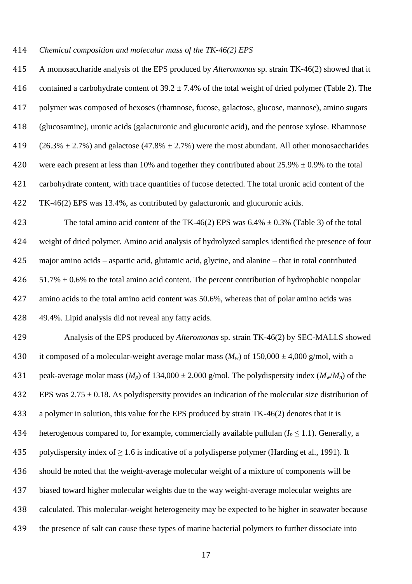*Chemical composition and molecular mass of the TK-46(2) EPS*

 A monosaccharide analysis of the EPS produced by *Alteromonas* sp. strain TK-46(2) showed that it 416 contained a carbohydrate content of  $39.2 \pm 7.4\%$  of the total weight of dried polymer (Table 2). The polymer was composed of hexoses (rhamnose, fucose, galactose, glucose, mannose), amino sugars (glucosamine), uronic acids (galacturonic and glucuronic acid), and the pentose xylose. Rhamnose 419 (26.3%  $\pm$  2.7%) and galactose (47.8%  $\pm$  2.7%) were the most abundant. All other monosaccharides 420 were each present at less than 10% and together they contributed about  $25.9\% \pm 0.9\%$  to the total carbohydrate content, with trace quantities of fucose detected. The total uronic acid content of the TK-46(2) EPS was 13.4%, as contributed by galacturonic and glucuronic acids.

423 The total amino acid content of the TK-46(2) EPS was  $6.4\% \pm 0.3\%$  (Table 3) of the total weight of dried polymer. Amino acid analysis of hydrolyzed samples identified the presence of four major amino acids – aspartic acid, glutamic acid, glycine, and alanine – that in total contributed  $51.7\% \pm 0.6\%$  to the total amino acid content. The percent contribution of hydrophobic nonpolar amino acids to the total amino acid content was 50.6%, whereas that of polar amino acids was 49.4%. Lipid analysis did not reveal any fatty acids.

 Analysis of the EPS produced by *Alteromonas* sp. strain TK-46(2) by SEC-MALLS showed 430 it composed of a molecular-weight average molar mass  $(M_w)$  of 150,000  $\pm$  4,000 g/mol, with a 431 peak-average molar mass  $(M_p)$  of 134,000  $\pm$  2,000 g/mol. The polydispersity index  $(M_w/M_n)$  of the 432 EPS was  $2.75 \pm 0.18$ . As polydispersity provides an indication of the molecular size distribution of a polymer in solution, this value for the EPS produced by strain TK-46(2) denotes that it is 434 heterogenous compared to, for example, commercially available pullulan  $(I_p \le 1.1)$ . Generally, a 435 polydispersity index of  $\geq 1.6$  is indicative of a polydisperse polymer (Harding et al., 1991). It should be noted that the weight-average molecular weight of a mixture of components will be biased toward higher molecular weights due to the way weight-average molecular weights are calculated. This molecular-weight heterogeneity may be expected to be higher in seawater because the presence of salt can cause these types of marine bacterial polymers to further dissociate into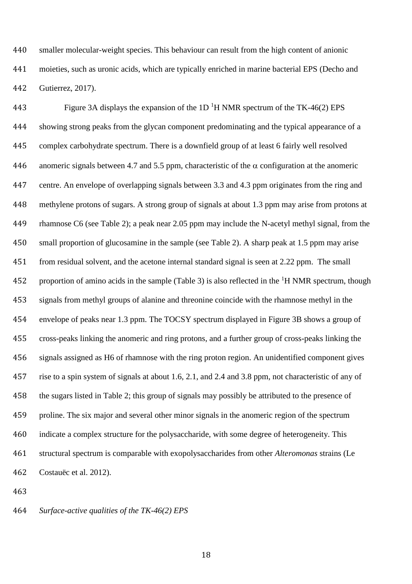smaller molecular-weight species. This behaviour can result from the high content of anionic moieties, such as uronic acids, which are typically enriched in marine bacterial EPS (Decho and Gutierrez, 2017).

443 Figure 3A displays the expansion of the 1D  $^1$ H NMR spectrum of the TK-46(2) EPS showing strong peaks from the glycan component predominating and the typical appearance of a complex carbohydrate spectrum. There is a downfield group of at least 6 fairly well resolved 446 anomeric signals between 4.7 and 5.5 ppm, characteristic of the  $\alpha$  configuration at the anomeric centre. An envelope of overlapping signals between 3.3 and 4.3 ppm originates from the ring and methylene protons of sugars. A strong group of signals at about 1.3 ppm may arise from protons at rhamnose C6 (see Table 2); a peak near 2.05 ppm may include the N-acetyl methyl signal, from the small proportion of glucosamine in the sample (see Table 2). A sharp peak at 1.5 ppm may arise from residual solvent, and the acetone internal standard signal is seen at 2.22 ppm. The small 452 proportion of amino acids in the sample (Table 3) is also reflected in the  ${}^{1}H$  NMR spectrum, though signals from methyl groups of alanine and threonine coincide with the rhamnose methyl in the envelope of peaks near 1.3 ppm. The TOCSY spectrum displayed in Figure 3B shows a group of cross-peaks linking the anomeric and ring protons, and a further group of cross-peaks linking the signals assigned as H6 of rhamnose with the ring proton region. An unidentified component gives rise to a spin system of signals at about 1.6, 2.1, and 2.4 and 3.8 ppm, not characteristic of any of the sugars listed in Table 2; this group of signals may possibly be attributed to the presence of proline. The six major and several other minor signals in the anomeric region of the spectrum indicate a complex structure for the polysaccharide, with some degree of heterogeneity. This structural spectrum is comparable with exopolysaccharides from other *Alteromonas* strains (Le Costauëc et al. 2012).

*Surface-active qualities of the TK-46(2) EPS*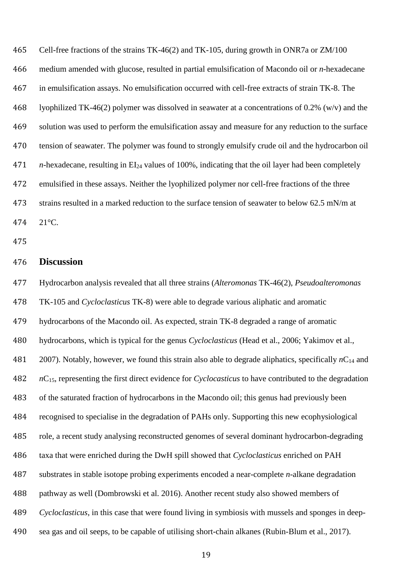Cell-free fractions of the strains TK-46(2) and TK-105, during growth in ONR7a or ZM/100 medium amended with glucose, resulted in partial emulsification of Macondo oil or *n*-hexadecane in emulsification assays. No emulsification occurred with cell-free extracts of strain TK-8. The lyophilized TK-46(2) polymer was dissolved in seawater at a concentrations of 0.2% (w/v) and the solution was used to perform the emulsification assay and measure for any reduction to the surface tension of seawater. The polymer was found to strongly emulsify crude oil and the hydrocarbon oil *n*-hexadecane, resulting in EI<sup>24</sup> values of 100%, indicating that the oil layer had been completely emulsified in these assays. Neither the lyophilized polymer nor cell-free fractions of the three 473 strains resulted in a marked reduction to the surface tension of seawater to below 62.5 mN/m at 21°C.

#### **Discussion**

 Hydrocarbon analysis revealed that all three strains (*Alteromonas* TK-46(2), *Pseudoalteromonas* TK-105 and *Cycloclasticus* TK-8) were able to degrade various aliphatic and aromatic hydrocarbons of the Macondo oil. As expected, strain TK-8 degraded a range of aromatic hydrocarbons, which is typical for the genus *Cycloclasticus* (Head et al., 2006; Yakimov et al., 2007). Notably, however, we found this strain also able to degrade aliphatics, specifically *n*C<sup>14</sup> and *n*C15, representing the first direct evidence for *Cyclocasticus* to have contributed to the degradation of the saturated fraction of hydrocarbons in the Macondo oil; this genus had previously been recognised to specialise in the degradation of PAHs only. Supporting this new ecophysiological role, a recent study analysing reconstructed genomes of several dominant hydrocarbon-degrading taxa that were enriched during the DwH spill showed that *Cycloclasticus* enriched on PAH substrates in stable isotope probing experiments encoded a near-complete *n*-alkane degradation pathway as well (Dombrowski et al. 2016). Another recent study also showed members of *Cycloclasticus*, in this case that were found living in symbiosis with mussels and sponges in deep-sea gas and oil seeps, to be capable of utilising short-chain alkanes (Rubin-Blum et al., 2017).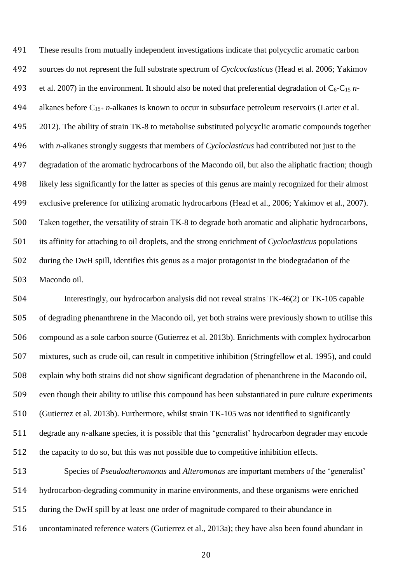These results from mutually independent investigations indicate that polycyclic aromatic carbon sources do not represent the full substrate spectrum of *Cyclcoclasticus* (Head et al. 2006; Yakimov 493 et al. 2007) in the environment. It should also be noted that preferential degradation of  $C_6-C_{15} n$ - alkanes before C15+ *n*-alkanes is known to occur in subsurface petroleum reservoirs (Larter et al. 2012). The ability of strain TK-8 to metabolise substituted polycyclic aromatic compounds together with *n*-alkanes strongly suggests that members of *Cycloclasticus* had contributed not just to the degradation of the aromatic hydrocarbons of the Macondo oil, but also the aliphatic fraction; though likely less significantly for the latter as species of this genus are mainly recognized for their almost exclusive preference for utilizing aromatic hydrocarbons (Head et al., 2006; Yakimov et al., 2007). Taken together, the versatility of strain TK-8 to degrade both aromatic and aliphatic hydrocarbons, its affinity for attaching to oil droplets, and the strong enrichment of *Cycloclasticus* populations during the DwH spill, identifies this genus as a major protagonist in the biodegradation of the Macondo oil.

 Interestingly, our hydrocarbon analysis did not reveal strains TK-46(2) or TK-105 capable of degrading phenanthrene in the Macondo oil, yet both strains were previously shown to utilise this compound as a sole carbon source (Gutierrez et al. 2013b). Enrichments with complex hydrocarbon mixtures, such as crude oil, can result in competitive inhibition (Stringfellow et al. 1995), and could explain why both strains did not show significant degradation of phenanthrene in the Macondo oil, even though their ability to utilise this compound has been substantiated in pure culture experiments (Gutierrez et al. 2013b). Furthermore, whilst strain TK-105 was not identified to significantly degrade any *n*-alkane species, it is possible that this 'generalist' hydrocarbon degrader may encode the capacity to do so, but this was not possible due to competitive inhibition effects.

 Species of *Pseudoalteromonas* and *Alteromonas* are important members of the 'generalist' hydrocarbon-degrading community in marine environments, and these organisms were enriched during the DwH spill by at least one order of magnitude compared to their abundance in uncontaminated reference waters (Gutierrez et al., 2013a); they have also been found abundant in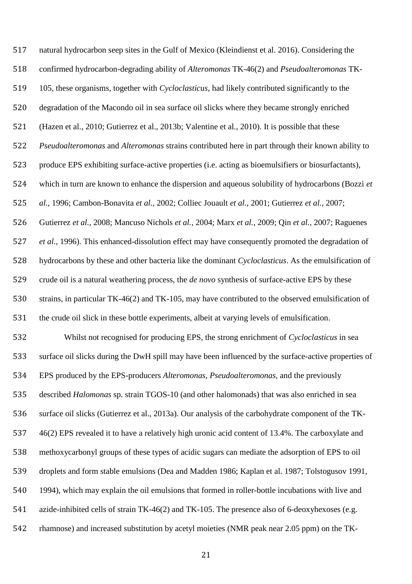natural hydrocarbon seep sites in the Gulf of Mexico (Kleindienst et al. 2016). Considering the confirmed hydrocarbon-degrading ability of *Alteromonas* TK-46(2) and *Pseudoalteromonas* TK- 105, these organisms, together with *Cycloclasticus*, had likely contributed significantly to the degradation of the Macondo oil in sea surface oil slicks where they became strongly enriched (Hazen et al., 2010; Gutierrez et al., 2013b; Valentine et al., 2010). It is possible that these *Pseudoalteromonas* and *Alteromonas* strains contributed here in part through their known ability to produce EPS exhibiting surface-active properties (i.e. acting as bioemulsifiers or biosurfactants), which in turn are known to enhance the dispersion and aqueous solubility of hydrocarbons (Bozzi *et al.*, 1996; Cambon-Bonavita *et al.*, 2002; Colliec Jouault *et al.*, 2001; Gutierrez *et al.*, 2007; Gutierrez *et al.*, 2008; Mancuso Nichols *et al.*, 2004; Marx *et al.*, 2009; Qin *et al.*, 2007; Raguenes *et al.*, 1996). This enhanced-dissolution effect may have consequently promoted the degradation of hydrocarbons by these and other bacteria like the dominant *Cycloclasticus*. As the emulsification of crude oil is a natural weathering process, the *de novo* synthesis of surface-active EPS by these strains, in particular TK-46(2) and TK-105, may have contributed to the observed emulsification of the crude oil slick in these bottle experiments, albeit at varying levels of emulsification. Whilst not recognised for producing EPS, the strong enrichment of *Cycloclasticus* in sea surface oil slicks during the DwH spill may have been influenced by the surface-active properties of EPS produced by the EPS-producers *Alteromonas*, *Pseudoalteromonas*, and the previously described *Halomonas* sp. strain TGOS-10 (and other halomonads) that was also enriched in sea surface oil slicks (Gutierrez et al., 2013a). Our analysis of the carbohydrate component of the TK- 46(2) EPS revealed it to have a relatively high uronic acid content of 13.4%. The carboxylate and methoxycarbonyl groups of these types of acidic sugars can mediate the adsorption of EPS to oil droplets and form stable emulsions (Dea and Madden 1986; Kaplan et al. 1987; Tolstogusov 1991, 1994), which may explain the oil emulsions that formed in roller-bottle incubations with live and azide-inhibited cells of strain TK-46(2) and TK-105. The presence also of 6-deoxyhexoses (e.g. rhamnose) and increased substitution by acetyl moieties (NMR peak near 2.05 ppm) on the TK-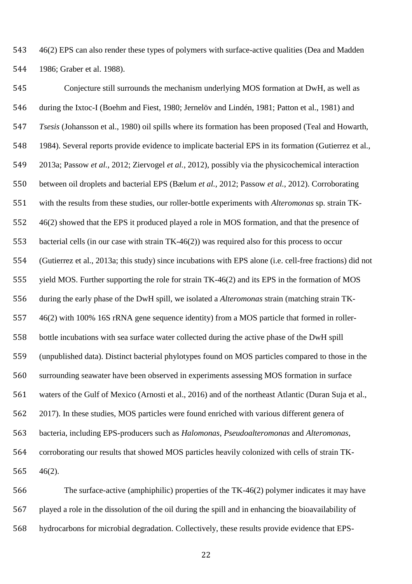46(2) EPS can also render these types of polymers with surface-active qualities (Dea and Madden 1986; Graber et al. 1988).

 Conjecture still surrounds the mechanism underlying MOS formation at DwH, as well as during the Ixtoc-I (Boehm and Fiest, 1980; Jernelöv and Lindén, 1981; Patton et al., 1981) and *Tsesis* (Johansson et al., 1980) oil spills where its formation has been proposed (Teal and Howarth, 1984). Several reports provide evidence to implicate bacterial EPS in its formation (Gutierrez et al., 2013a; Passow *et al.*, 2012; Ziervogel *et al.*, 2012), possibly via the physicochemical interaction between oil droplets and bacterial EPS (Bælum *et al.*, 2012; Passow *et al.*, 2012). Corroborating with the results from these studies, our roller-bottle experiments with *Alteromonas* sp. strain TK- 46(2) showed that the EPS it produced played a role in MOS formation, and that the presence of bacterial cells (in our case with strain TK-46(2)) was required also for this process to occur (Gutierrez et al., 2013a; this study) since incubations with EPS alone (i.e. cell-free fractions) did not 555 yield MOS. Further supporting the role for strain TK-46(2) and its EPS in the formation of MOS during the early phase of the DwH spill, we isolated a *Alteromonas* strain (matching strain TK- 46(2) with 100% 16S rRNA gene sequence identity) from a MOS particle that formed in roller- bottle incubations with sea surface water collected during the active phase of the DwH spill (unpublished data). Distinct bacterial phylotypes found on MOS particles compared to those in the surrounding seawater have been observed in experiments assessing MOS formation in surface waters of the Gulf of Mexico (Arnosti et al., 2016) and of the northeast Atlantic (Duran Suja et al., 2017). In these studies, MOS particles were found enriched with various different genera of bacteria, including EPS-producers such as *Halomonas*, *Pseudoalteromonas* and *Alteromonas*, corroborating our results that showed MOS particles heavily colonized with cells of strain TK-46(2).

 The surface-active (amphiphilic) properties of the TK-46(2) polymer indicates it may have played a role in the dissolution of the oil during the spill and in enhancing the bioavailability of hydrocarbons for microbial degradation. Collectively, these results provide evidence that EPS-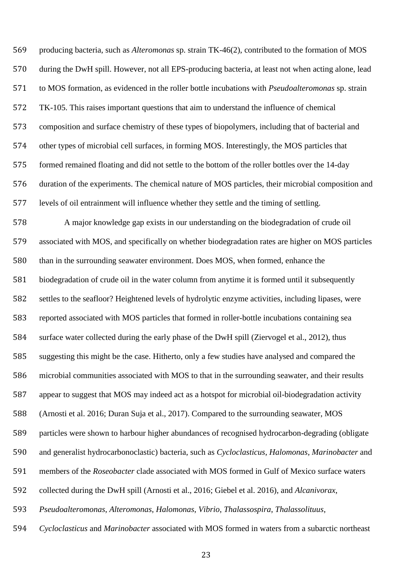producing bacteria, such as *Alteromonas* sp. strain TK-46(2), contributed to the formation of MOS during the DwH spill. However, not all EPS-producing bacteria, at least not when acting alone, lead to MOS formation, as evidenced in the roller bottle incubations with *Pseudoalteromonas* sp. strain TK-105. This raises important questions that aim to understand the influence of chemical composition and surface chemistry of these types of biopolymers, including that of bacterial and other types of microbial cell surfaces, in forming MOS. Interestingly, the MOS particles that formed remained floating and did not settle to the bottom of the roller bottles over the 14-day duration of the experiments. The chemical nature of MOS particles, their microbial composition and levels of oil entrainment will influence whether they settle and the timing of settling. A major knowledge gap exists in our understanding on the biodegradation of crude oil associated with MOS, and specifically on whether biodegradation rates are higher on MOS particles than in the surrounding seawater environment. Does MOS, when formed, enhance the biodegradation of crude oil in the water column from anytime it is formed until it subsequently settles to the seafloor? Heightened levels of hydrolytic enzyme activities, including lipases, were reported associated with MOS particles that formed in roller-bottle incubations containing sea surface water collected during the early phase of the DwH spill (Ziervogel et al., 2012), thus suggesting this might be the case. Hitherto, only a few studies have analysed and compared the microbial communities associated with MOS to that in the surrounding seawater, and their results appear to suggest that MOS may indeed act as a hotspot for microbial oil-biodegradation activity (Arnosti et al. 2016; Duran Suja et al., 2017). Compared to the surrounding seawater, MOS particles were shown to harbour higher abundances of recognised hydrocarbon-degrading (obligate and generalist hydrocarbonoclastic) bacteria, such as *Cycloclasticus*, *Halomonas*, *Marinobacter* and members of the *Roseobacter* clade associated with MOS formed in Gulf of Mexico surface waters collected during the DwH spill (Arnosti et al., 2016; Giebel et al. 2016), and *Alcanivorax*, *Pseudoalteromonas*, *Alteromonas*, *Halomonas*, *Vibrio*, *Thalassospira*, *Thalassolituus*,

*Cycloclasticus* and *Marinobacter* associated with MOS formed in waters from a subarctic northeast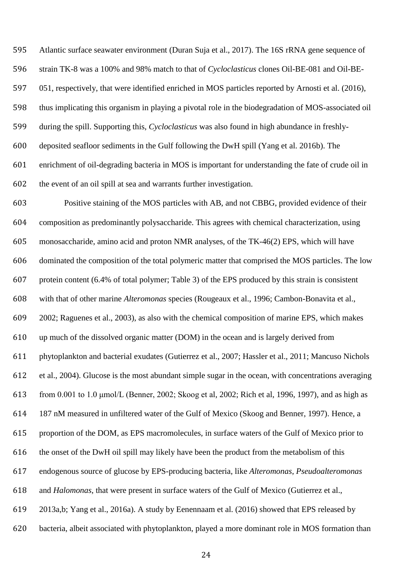Atlantic surface seawater environment (Duran Suja et al., 2017). The 16S rRNA gene sequence of strain TK-8 was a 100% and 98% match to that of *Cycloclasticus* clones Oil-BE-081 and Oil-BE- 051, respectively, that were identified enriched in MOS particles reported by Arnosti et al. (2016), thus implicating this organism in playing a pivotal role in the biodegradation of MOS-associated oil during the spill. Supporting this, *Cycloclasticus* was also found in high abundance in freshly- deposited seafloor sediments in the Gulf following the DwH spill (Yang et al. 2016b). The enrichment of oil-degrading bacteria in MOS is important for understanding the fate of crude oil in the event of an oil spill at sea and warrants further investigation.

 Positive staining of the MOS particles with AB, and not CBBG, provided evidence of their composition as predominantly polysaccharide. This agrees with chemical characterization, using monosaccharide, amino acid and proton NMR analyses, of the TK-46(2) EPS, which will have dominated the composition of the total polymeric matter that comprised the MOS particles. The low protein content (6.4% of total polymer; Table 3) of the EPS produced by this strain is consistent with that of other marine *Alteromonas* species (Rougeaux et al., 1996; Cambon-Bonavita et al., 2002; Raguenes et al., 2003), as also with the chemical composition of marine EPS, which makes up much of the dissolved organic matter (DOM) in the ocean and is largely derived from phytoplankton and bacterial exudates (Gutierrez et al., 2007; Hassler et al., 2011; Mancuso Nichols et al., 2004). Glucose is the most abundant simple sugar in the ocean, with concentrations averaging from 0.001 to 1.0 μmol/L (Benner, 2002; Skoog et al, 2002; Rich et al, 1996, 1997), and as high as 187 nM measured in unfiltered water of the Gulf of Mexico (Skoog and Benner, 1997). Hence, a proportion of the DOM, as EPS macromolecules, in surface waters of the Gulf of Mexico prior to the onset of the DwH oil spill may likely have been the product from the metabolism of this endogenous source of glucose by EPS-producing bacteria, like *Alteromonas*, *Pseudoalteromonas* and *Halomonas*, that were present in surface waters of the Gulf of Mexico (Gutierrez et al., 2013a,b; Yang et al., 2016a). A study by Eenennaam et al. (2016) showed that EPS released by

bacteria, albeit associated with phytoplankton, played a more dominant role in MOS formation than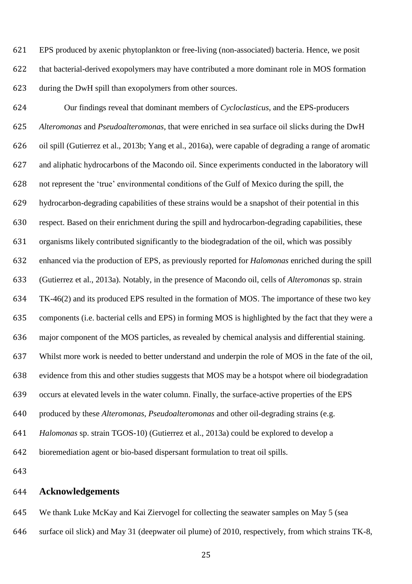EPS produced by axenic phytoplankton or free-living (non-associated) bacteria. Hence, we posit that bacterial-derived exopolymers may have contributed a more dominant role in MOS formation during the DwH spill than exopolymers from other sources.

 Our findings reveal that dominant members of *Cycloclasticus*, and the EPS-producers *Alteromonas* and *Pseudoalteromonas*, that were enriched in sea surface oil slicks during the DwH oil spill (Gutierrez et al., 2013b; Yang et al., 2016a), were capable of degrading a range of aromatic and aliphatic hydrocarbons of the Macondo oil. Since experiments conducted in the laboratory will not represent the 'true' environmental conditions of the Gulf of Mexico during the spill, the hydrocarbon-degrading capabilities of these strains would be a snapshot of their potential in this respect. Based on their enrichment during the spill and hydrocarbon-degrading capabilities, these organisms likely contributed significantly to the biodegradation of the oil, which was possibly enhanced via the production of EPS, as previously reported for *Halomonas* enriched during the spill (Gutierrez et al., 2013a). Notably, in the presence of Macondo oil, cells of *Alteromonas* sp. strain TK-46(2) and its produced EPS resulted in the formation of MOS. The importance of these two key components (i.e. bacterial cells and EPS) in forming MOS is highlighted by the fact that they were a major component of the MOS particles, as revealed by chemical analysis and differential staining. Whilst more work is needed to better understand and underpin the role of MOS in the fate of the oil, evidence from this and other studies suggests that MOS may be a hotspot where oil biodegradation occurs at elevated levels in the water column. Finally, the surface-active properties of the EPS produced by these *Alteromonas*, *Pseudoalteromonas* and other oil-degrading strains (e.g. *Halomonas* sp. strain TGOS-10) (Gutierrez et al., 2013a) could be explored to develop a bioremediation agent or bio-based dispersant formulation to treat oil spills. 

### **Acknowledgements**

 We thank Luke McKay and Kai Ziervogel for collecting the seawater samples on May 5 (sea surface oil slick) and May 31 (deepwater oil plume) of 2010, respectively, from which strains TK-8,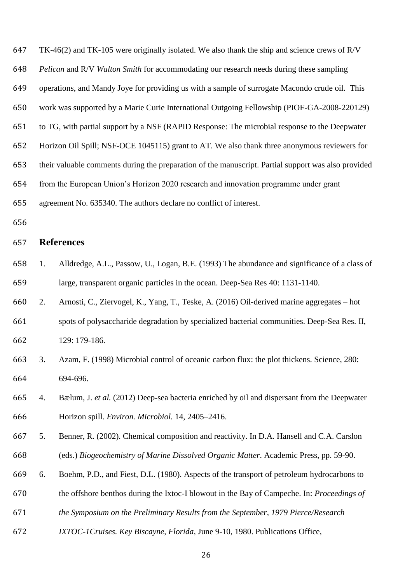| 647 | $TK-46(2)$ and TK-105 were originally isolated. We also thank the ship and science crews of R/V       |
|-----|-------------------------------------------------------------------------------------------------------|
| 648 | <i>Pelican</i> and R/V <i>Walton Smith</i> for accommodating our research needs during these sampling |
| 649 | operations, and Mandy Joye for providing us with a sample of surrogate Macondo crude oil. This        |
| 650 | work was supported by a Marie Curie International Outgoing Fellowship (PIOF-GA-2008-220129)           |
| 651 | to TG, with partial support by a NSF (RAPID Response: The microbial response to the Deepwater         |
| 652 | Horizon Oil Spill; NSF-OCE 1045115) grant to AT. We also thank three anonymous reviewers for          |
| 653 | their valuable comments during the preparation of the manuscript. Partial support was also provided   |
| 654 | from the European Union's Horizon 2020 research and innovation programme under grant                  |
| 655 | agreement No. 635340. The authors declare no conflict of interest.                                    |
|     |                                                                                                       |

### **References**

- 1. Alldredge, A.L., Passow, U., Logan, B.E. (1993) The abundance and significance of a class of large, transparent organic particles in the ocean. Deep-Sea Res 40: 1131-1140.
- 2. Arnosti, C., Ziervogel, K., Yang, T., Teske, A. (2016) Oil-derived marine aggregates hot spots of polysaccharide degradation by specialized bacterial communities. Deep-Sea Res. II, 129: 179-186.
- 3. Azam, F. (1998) Microbial control of oceanic carbon flux: the plot thickens. Science, 280: 694-696.
- 4. Bælum, J. *et al.* (2012) Deep-sea bacteria enriched by oil and dispersant from the Deepwater Horizon spill. *Environ. Microbiol.* 14, 2405–2416.
- 5. Benner, R. (2002). Chemical composition and reactivity. In D.A. Hansell and C.A. Carslon (eds.) *Biogeochemistry of Marine Dissolved Organic Matter*. Academic Press, pp. 59-90.
- 6. Boehm, P.D., and Fiest, D.L. (1980). Aspects of the transport of petroleum hydrocarbons to
- the offshore benthos during the Ixtoc-I blowout in the Bay of Campeche. In: *Proceedings of*
- *the Symposium on the Preliminary Results from the September, 1979 Pierce/Research*
- *IXTOC-1Cruises. Key Biscayne, Florida*, June 9-10, 1980. Publications Office,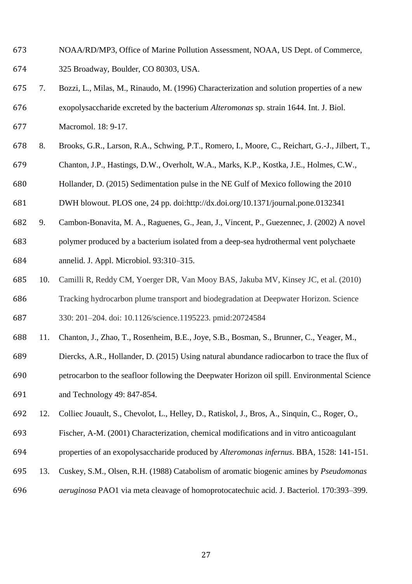- NOAA/RD/MP3, Office of Marine Pollution Assessment, NOAA, US Dept. of Commerce,
- 325 Broadway, Boulder, CO 80303, USA.
- 7. Bozzi, L., Milas, M., Rinaudo, M. (1996) Characterization and solution properties of a new exopolysaccharide excreted by the bacterium *Alteromonas* sp. strain 1644. Int. J. Biol. Macromol. 18: 9-17.
- 8. Brooks, G.R., Larson, R.A., Schwing, P.T., Romero, I., Moore, C., Reichart, G.-J., Jilbert, T.,
- Chanton, J.P., Hastings, D.W., Overholt, W.A., Marks, K.P., Kostka, J.E., Holmes, C.W.,
- Hollander, D. (2015) Sedimentation pulse in the NE Gulf of Mexico following the 2010
- DWH blowout. PLOS one, 24 pp. doi:http://dx.doi.org/10.1371/journal.pone.0132341
- 9. Cambon-Bonavita, M. A., Raguenes, G., Jean, J., Vincent, P., Guezennec, J. (2002) A novel
- polymer produced by a bacterium isolated from a deep-sea hydrothermal vent polychaete annelid. J. Appl. Microbiol. 93:310–315.
- 10. Camilli R, Reddy CM, Yoerger DR, Van Mooy BAS, Jakuba MV, Kinsey JC, et al. (2010) Tracking hydrocarbon plume transport and biodegradation at Deepwater Horizon. Science 330: 201–204. doi: 10.1126/science.1195223. pmid:20724584
- 11. Chanton, J., Zhao, T., Rosenheim, B.E., Joye, S.B., Bosman, S., Brunner, C., Yeager, M.,
- Diercks, A.R., Hollander, D. (2015) Using natural abundance radiocarbon to trace the flux of petrocarbon to the seafloor following the Deepwater Horizon oil spill. Environmental Science and Technology 49: 847-854.
- 12. Colliec Jouault, S., Chevolot, L., Helley, D., Ratiskol, J., Bros, A., Sinquin, C., Roger, O.,
- Fischer, A-M. (2001) Characterization, chemical modifications and in vitro anticoagulant
- properties of an exopolysaccharide produced by *Alteromonas infernus*. BBA, 1528: 141-151.
- 13. Cuskey, S.M., Olsen, R.H. (1988) Catabolism of aromatic biogenic amines by *Pseudomonas*
- *aeruginosa* PAO1 via meta cleavage of homoprotocatechuic acid. J. Bacteriol. 170:393–399.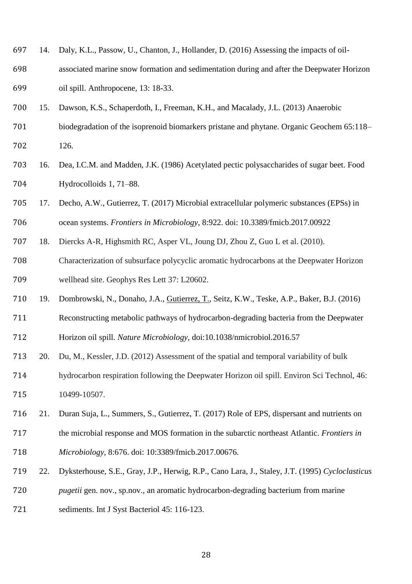| 697 | 14. | Daly, K.L., Passow, U., Chanton, J., Hollander, D. (2016) Assessing the impacts of oil-         |
|-----|-----|-------------------------------------------------------------------------------------------------|
| 698 |     | associated marine snow formation and sedimentation during and after the Deepwater Horizon       |
| 699 |     | oil spill. Anthropocene, 13: 18-33.                                                             |
| 700 | 15. | Dawson, K.S., Schaperdoth, I., Freeman, K.H., and Macalady, J.L. (2013) Anaerobic               |
| 701 |     | biodegradation of the isoprenoid biomarkers pristane and phytane. Organic Geochem 65:118–       |
| 702 |     | 126.                                                                                            |
| 703 | 16. | Dea, I.C.M. and Madden, J.K. (1986) Acetylated pectic polysaccharides of sugar beet. Food       |
| 704 |     | Hydrocolloids 1, 71-88.                                                                         |
| 705 | 17. | Decho, A.W., Gutierrez, T. (2017) Microbial extracellular polymeric substances (EPSs) in        |
| 706 |     | ocean systems. Frontiers in Microbiology, 8:922. doi: 10.3389/fmicb.2017.00922                  |
| 707 | 18. | Diercks A-R, Highsmith RC, Asper VL, Joung DJ, Zhou Z, Guo L et al. (2010).                     |
| 708 |     | Characterization of subsurface polycyclic aromatic hydrocarbons at the Deepwater Horizon        |
| 709 |     | wellhead site. Geophys Res Lett 37: L20602.                                                     |
| 710 | 19. | Dombrowski, N., Donaho, J.A., Gutierrez, T., Seitz, K.W., Teske, A.P., Baker, B.J. (2016)       |
| 711 |     | Reconstructing metabolic pathways of hydrocarbon-degrading bacteria from the Deepwater          |
| 712 |     | Horizon oil spill. Nature Microbiology, doi:10.1038/nmicrobiol.2016.57                          |
| 713 | 20. | Du, M., Kessler, J.D. (2012) Assessment of the spatial and temporal variability of bulk         |
| 714 |     | hydrocarbon respiration following the Deepwater Horizon oil spill. Environ Sci Technol, 46:     |
| 715 |     | 10499-10507.                                                                                    |
| 716 | 21. | Duran Suja, L., Summers, S., Gutierrez, T. (2017) Role of EPS, dispersant and nutrients on      |
| 717 |     | the microbial response and MOS formation in the subarctic northeast Atlantic. Frontiers in      |
| 718 |     | Microbiology, 8:676. doi: 10:3389/fmicb.2017.00676.                                             |
| 719 | 22. | Dyksterhouse, S.E., Gray, J.P., Herwig, R.P., Cano Lara, J., Staley, J.T. (1995) Cycloclasticus |
| 720 |     | <i>pugetii</i> gen. nov., sp.nov., an aromatic hydrocarbon-degrading bacterium from marine      |
| 721 |     | sediments. Int J Syst Bacteriol 45: 116-123.                                                    |
|     |     |                                                                                                 |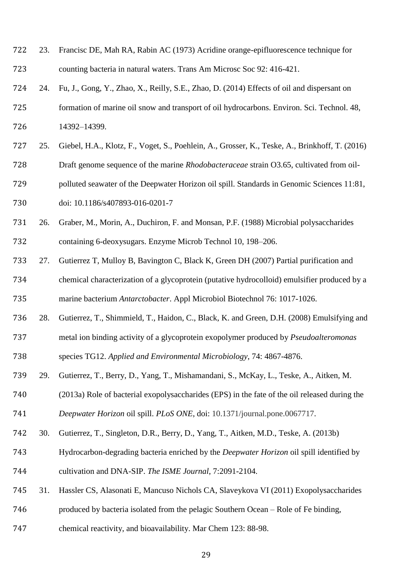| 722 | 23. Francisc DE, Mah RA, Rabin AC (1973) Acridine orange-epifluorescence technique for |
|-----|----------------------------------------------------------------------------------------|
| 723 | counting bacteria in natural waters. Trans Am Microsc Soc 92: 416-421.                 |

- 24. Fu, J., Gong, Y., Zhao, X., Reilly, S.E., Zhao, D. (2014) Effects of oil and dispersant on formation of marine oil snow and transport of oil hydrocarbons. Environ. Sci. Technol. 48, 14392–14399.
- 25. Giebel, H.A., Klotz, F., Voget, S., Poehlein, A., Grosser, K., Teske, A., Brinkhoff, T. (2016)
- Draft genome sequence of the marine *Rhodobacteraceae* strain O3.65, cultivated from oil-
- polluted seawater of the Deepwater Horizon oil spill. Standards in Genomic Sciences 11:81,

doi: 10.1186/s407893-016-0201-7

- 26. Graber, M., Morin, A., Duchiron, F. and Monsan, P.F. (1988) Microbial polysaccharides containing 6-deoxysugars. Enzyme Microb Technol 10, 198–206.
- 27. Gutierrez T, Mulloy B, Bavington C, Black K, Green DH (2007) Partial purification and chemical characterization of a glycoprotein (putative hydrocolloid) emulsifier produced by a

marine bacterium *Antarctobacter*. Appl Microbiol Biotechnol 76: 1017-1026.

- 28. Gutierrez, T., Shimmield, T., Haidon, C., Black, K. and Green, D.H. (2008) Emulsifying and metal ion binding activity of a glycoprotein exopolymer produced by *Pseudoalteromonas* species TG12. *Applied and Environmental Microbiology*, 74: 4867-4876.
- 29. Gutierrez, T., Berry, D., Yang, T., Mishamandani, S., McKay, L., Teske, A., Aitken, M.

(2013a) Role of bacterial exopolysaccharides (EPS) in the fate of the oil released during the

*Deepwater Horizon* oil spill. *PLoS ONE*, doi: 10.1371/journal.pone.0067717.

- 30. Gutierrez, T., Singleton, D.R., Berry, D., Yang, T., Aitken, M.D., Teske, A. (2013b)
- Hydrocarbon-degrading bacteria enriched by the *Deepwater Horizon* oil spill identified by cultivation and DNA-SIP. *The ISME Journal*, 7:2091-2104.
- 31. Hassler CS, Alasonati E, Mancuso Nichols CA, Slaveykova VI (2011) Exopolysaccharides
- produced by bacteria isolated from the pelagic Southern Ocean Role of Fe binding,
- chemical reactivity, and bioavailability. Mar Chem 123: 88-98.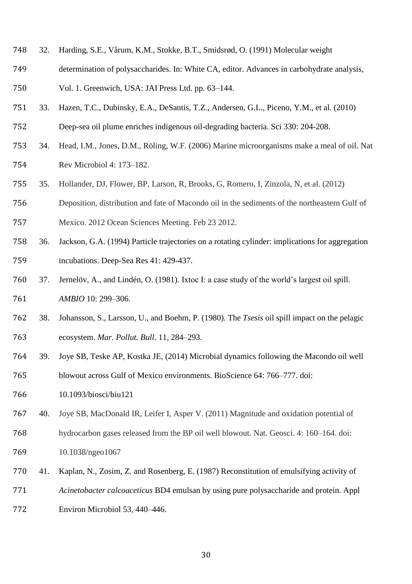- 32. Harding, S.E., Vårum, K.M., Stokke, B.T., Smidsrød, O. (1991) Molecular weight
- determination of polysaccharides. In: White CA, editor. Advances in carbohydrate analysis,
- Vol. 1. Greenwich, USA: JAI Press Ltd. pp. 63–144.
- 33. Hazen, T.C., Dubinsky, E.A., DeSantis, T.Z., Andersen, G.L., Piceno, Y.M., et al. (2010) Deep-sea oil plume enriches indigenous oil-degrading bacteria. Sci 330: 204-208.
- 34. Head, I.M., Jones, D.M., Röling, W.F. (2006) Marine microorganisms make a meal of oil. Nat Rev Microbiol 4: 173–182.
- 35. Hollander, DJ, Flower, BP, Larson, R, Brooks, G, Romero, I, Zinzola, N, et al. (2012)
- Deposition, distribution and fate of Macondo oil in the sediments of the northeastern Gulf of
- Mexico. 2012 Ocean Sciences Meeting. Feb 23 2012.
- 36. Jackson, G.A. (1994) Particle trajectories on a rotating cylinder: implications for aggregation incubations. Deep-Sea Res 41: 429-437.
- 37. Jernelöv, A., and Lindén, O. (1981). Ixtoc I: a case study of the world's largest oil spill. *AMBIO* 10: 299–306.
- 38. Johansson, S., Larsson, U., and Boehm, P. (1980). The *Tsesis* oil spill impact on the pelagic ecosystem. *Mar. Pollut. Bull*. 11, 284–293.
- 39. Joye SB, Teske AP, Kostka JE, (2014) Microbial dynamics following the Macondo oil well blowout across Gulf of Mexico environments. BioScience 64: 766–777. doi:
- 10.1093/biosci/biu121
- 40. Joye SB, MacDonald IR, Leifer I, Asper V. (2011) Magnitude and oxidation potential of hydrocarbon gases released from the BP oil well blowout. Nat. Geosci. 4: 160–164. doi: 10.1038/ngeo1067
- 41. Kaplan, N., Zosim, Z. and Rosenberg, E. (1987) Reconstitution of emulsifying activity of
- *Acinetobacter calcoaceticus* BD4 emulsan by using pure polysaccharide and protein. Appl
- Environ Microbiol 53, 440–446.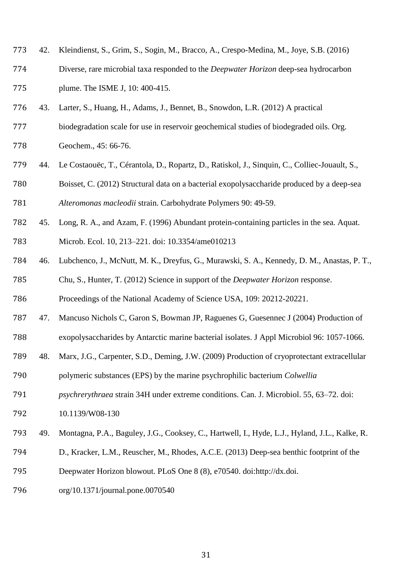- 42. Kleindienst, S., Grim, S., Sogin, M., Bracco, A., Crespo-Medina, M., Joye, S.B. (2016)
- Diverse, rare microbial taxa responded to the *Deepwater Horizon* deep-sea hydrocarbon plume. The ISME J, 10: 400-415.
- 43. Larter, S., Huang, H., Adams, J., Bennet, B., Snowdon, L.R. (2012) A practical
- biodegradation scale for use in reservoir geochemical studies of biodegraded oils. Org.

Geochem., 45: 66-76.

- 44. Le Costaouëc, T., Cérantola, D., Ropartz, D., Ratiskol, J., Sinquin, C., Colliec-Jouault, S.,
- Boisset, C. (2012) Structural data on a bacterial exopolysaccharide produced by a deep-sea *Alteromonas macleodii* strain. Carbohydrate Polymers 90: 49-59.
- 45. Long, R. A., and Azam, F. (1996) Abundant protein-containing particles in the sea. Aquat. Microb. Ecol. 10, 213–221. doi: 10.3354/ame010213
- 46. Lubchenco, J., McNutt, M. K., Dreyfus, G., Murawski, S. A., Kennedy, D. M., Anastas, P. T., Chu, S., Hunter, T. (2012) Science in support of the *Deepwater Horizon* response.
- Proceedings of the National Academy of Science USA, 109: 20212-20221.
- 47. Mancuso Nichols C, Garon S, Bowman JP, Raguenes G, Guesennec J (2004) Production of exopolysaccharides by Antarctic marine bacterial isolates. J Appl Microbiol 96: 1057-1066.
- 48. Marx, J.G., Carpenter, S.D., Deming, J.W. (2009) Production of cryoprotectant extracellular
- polymeric substances (EPS) by the marine psychrophilic bacterium *Colwellia*
- *psychrerythraea* strain 34H under extreme conditions. Can. J. Microbiol. 55, 63–72. doi:
- 10.1139/W08-130
- 49. Montagna, P.A., Baguley, J.G., Cooksey, C., Hartwell, I., Hyde, L.J., Hyland, J.L., Kalke, R.
- D., Kracker, L.M., Reuscher, M., Rhodes, A.C.E. (2013) Deep-sea benthic footprint of the
- Deepwater Horizon blowout. PLoS One 8 (8), e70540. doi:http://dx.doi.
- org/10.1371/journal.pone.0070540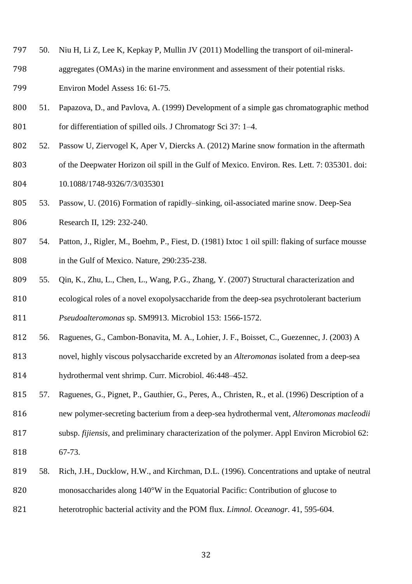- 50. Niu H, Li Z, Lee K, Kepkay P, Mullin JV (2011) Modelling the transport of oil-mineral-
- aggregates (OMAs) in the marine environment and assessment of their potential risks.
- Environ Model Assess 16: 61-75.
- 51. Papazova, D., and Pavlova, A. (1999) Development of a simple gas chromatographic method 801 for differentiation of spilled oils. J Chromatogr Sci 37: 1–4.
- 52. Passow U, Ziervogel K, Aper V, Diercks A. (2012) Marine snow formation in the aftermath
- of the Deepwater Horizon oil spill in the Gulf of Mexico. Environ. Res. Lett. 7: 035301. doi: 10.1088/1748-9326/7/3/035301
- 53. Passow, U. (2016) Formation of rapidly–sinking, oil-associated marine snow. Deep-Sea Research II, 129: 232-240.
- 54. Patton, J., Rigler, M., Boehm, P., Fiest, D. (1981) Ixtoc 1 oil spill: flaking of surface mousse in the Gulf of Mexico. Nature, 290:235-238.
- 55. Qin, K., Zhu, L., Chen, L., Wang, P.G., Zhang, Y. (2007) Structural characterization and ecological roles of a novel exopolysaccharide from the deep-sea psychrotolerant bacterium *Pseudoalteromonas* sp. SM9913. Microbiol 153: 1566-1572.
- 56. Raguenes, G., Cambon-Bonavita, M. A., Lohier, J. F., Boisset, C., Guezennec, J. (2003) A
- novel, highly viscous polysaccharide excreted by an *Alteromonas* isolated from a deep-sea hydrothermal vent shrimp. Curr. Microbiol. 46:448–452.
- 57. Raguenes, G., Pignet, P., Gauthier, G., Peres, A., Christen, R., et al. (1996) Description of a

new polymer-secreting bacterium from a deep-sea hydrothermal vent, *Alteromonas macleodii*

- subsp. *fijiensis*, and preliminary characterization of the polymer. Appl Environ Microbiol 62:
- 67-73.
- 58. Rich, J.H., Ducklow, H.W., and Kirchman, D.L. (1996). Concentrations and uptake of neutral
- 820 monosaccharides along 140°W in the Equatorial Pacific: Contribution of glucose to
- heterotrophic bacterial activity and the POM flux. *Limnol. Oceanogr*. 41, 595-604.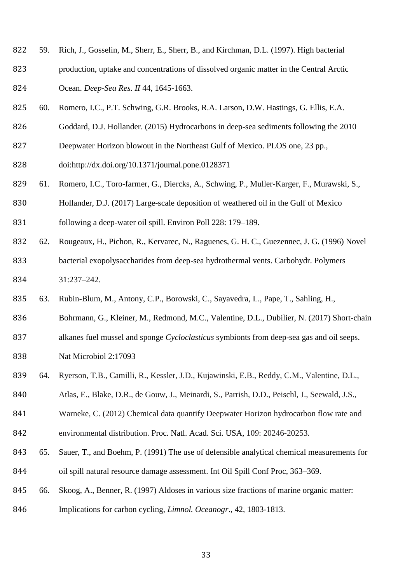- 59. Rich, J., Gosselin, M., Sherr, E., Sherr, B., and Kirchman, D.L. (1997). High bacterial
- production, uptake and concentrations of dissolved organic matter in the Central Arctic Ocean. *Deep-Sea Res. II* 44, 1645-1663.
- 60. Romero, I.C., P.T. Schwing, G.R. Brooks, R.A. Larson, D.W. Hastings, G. Ellis, E.A.
- Goddard, D.J. Hollander. (2015) Hydrocarbons in deep-sea sediments following the 2010
- Deepwater Horizon blowout in the Northeast Gulf of Mexico. PLOS one, 23 pp.,

doi:http://dx.doi.org/10.1371/journal.pone.0128371

61. Romero, I.C., Toro-farmer, G., Diercks, A., Schwing, P., Muller-Karger, F., Murawski, S.,

 Hollander, D.J. (2017) Large-scale deposition of weathered oil in the Gulf of Mexico following a deep-water oil spill. Environ Poll 228: 179–189.

- 62. Rougeaux, H., Pichon, R., Kervarec, N., Raguenes, G. H. C., Guezennec, J. G. (1996) Novel bacterial exopolysaccharides from deep-sea hydrothermal vents. Carbohydr. Polymers 31:237–242.
- 63. Rubin-Blum, M., Antony, C.P., Borowski, C., Sayavedra, L., Pape, T., Sahling, H.,
- 836 Bohrmann, G., Kleiner, M., Redmond, M.C., Valentine, D.L., Dubilier, N. (2017) Short-chain
- alkanes fuel mussel and sponge *Cycloclasticus* symbionts from deep-sea gas and oil seeps.
- Nat Microbiol 2:17093
- 64. Ryerson, T.B., Camilli, R., Kessler, J.D., Kujawinski, E.B., Reddy, C.M., Valentine, D.L.,
- Atlas, E., Blake, D.R., de Gouw, J., Meinardi, S., Parrish, D.D., Peischl, J., Seewald, J.S.,
- Warneke, C. (2012) Chemical data quantify Deepwater Horizon hydrocarbon flow rate and
- environmental distribution. Proc. Natl. Acad. Sci. USA, 109: 20246-20253.
- 65. Sauer, T., and Boehm, P. (1991) The use of defensible analytical chemical measurements for oil spill natural resource damage assessment. Int Oil Spill Conf Proc, 363–369.
- 66. Skoog, A., Benner, R. (1997) Aldoses in various size fractions of marine organic matter:
- Implications for carbon cycling, *Limnol. Oceanogr*., 42, 1803-1813.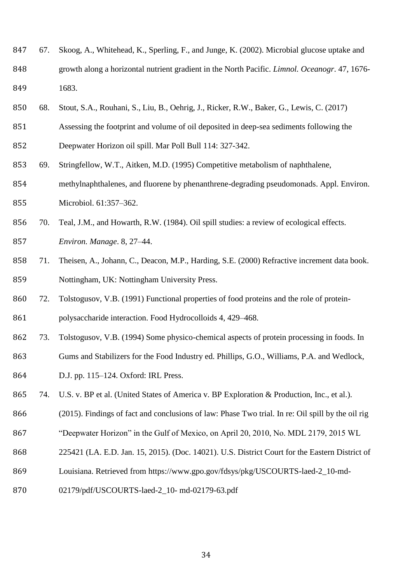- 67. Skoog, A., Whitehead, K., Sperling, F., and Junge, K. (2002). Microbial glucose uptake and
- growth along a horizontal nutrient gradient in the North Pacific. *Limnol. Oceanogr*. 47, 1676- 1683.
- 68. Stout, S.A., Rouhani, S., Liu, B., Oehrig, J., Ricker, R.W., Baker, G., Lewis, C. (2017)
- Assessing the footprint and volume of oil deposited in deep-sea sediments following the
- Deepwater Horizon oil spill. Mar Poll Bull 114: 327-342.
- 69. Stringfellow, W.T., Aitken, M.D. (1995) Competitive metabolism of naphthalene,
- methylnaphthalenes, and fluorene by phenanthrene-degrading pseudomonads. Appl. Environ. Microbiol. 61:357–362.
- 70. Teal, J.M., and Howarth, R.W. (1984). Oil spill studies: a review of ecological effects. *Environ. Manage*. 8, 27–44.
- 71. Theisen, A., Johann, C., Deacon, M.P., Harding, S.E. (2000) Refractive increment data book. Nottingham, UK: Nottingham University Press.
- 72. Tolstogusov, V.B. (1991) Functional properties of food proteins and the role of protein-polysaccharide interaction. Food Hydrocolloids 4, 429–468.
- 73. Tolstogusov, V.B. (1994) Some physico-chemical aspects of protein processing in foods. In
- Gums and Stabilizers for the Food Industry ed. Phillips, G.O., Williams, P.A. and Wedlock,
- D.J. pp. 115–124. Oxford: IRL Press.
- 74. U.S. v. BP et al. (United States of America v. BP Exploration & Production, Inc., et al.).
- (2015). Findings of fact and conclusions of law: Phase Two trial. In re: Oil spill by the oil rig
- "Deepwater Horizon" in the Gulf of Mexico, on April 20, 2010, No. MDL 2179, 2015 WL
- 225421 (LA. E.D. Jan. 15, 2015). (Doc. 14021). U.S. District Court for the Eastern District of
- Louisiana. Retrieved from [https://www.gpo.gov/fdsys/pkg/USCOURTS-laed-2\\_10-md-](https://www.gpo.gov/fdsys/pkg/USCOURTS-laed-2_10-md-02179/pdf/USCOURTS-laed-2_10-%20md-02179-63.pdf)
- [02179/pdf/USCOURTS-laed-2\\_10-](https://www.gpo.gov/fdsys/pkg/USCOURTS-laed-2_10-md-02179/pdf/USCOURTS-laed-2_10-%20md-02179-63.pdf) md-02179-63.pdf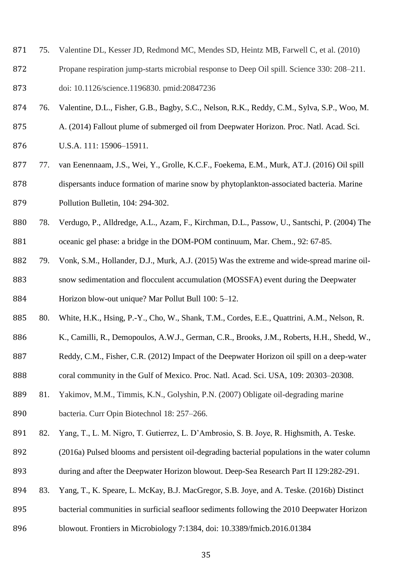- 75. Valentine DL, Kesser JD, Redmond MC, Mendes SD, Heintz MB, Farwell C, et al. (2010)
- Propane respiration jump-starts microbial response to Deep Oil spill. Science 330: 208–211.
- doi: 10.1126/science.1196830. pmid:20847236
- 76. Valentine, D.L., Fisher, G.B., Bagby, S.C., Nelson, R.K., Reddy, C.M., Sylva, S.P., Woo, M.
- A. (2014) Fallout plume of submerged oil from Deepwater Horizon. Proc. Natl. Acad. Sci.
- U.S.A. 111: 15906–15911.
- 77. van Eenennaam, J.S., Wei, Y., Grolle, K.C.F., Foekema, E.M., Murk, AT.J. (2016) Oil spill dispersants induce formation of marine snow by phytoplankton-associated bacteria. Marine Pollution Bulletin, 104: 294-302.
- 78. Verdugo, P., Alldredge, A.L., Azam, F., Kirchman, D.L., Passow, U., Santschi, P. (2004) The oceanic gel phase: a bridge in the DOM-POM continuum, Mar. Chem., 92: 67-85.
- 79. Vonk, S.M., Hollander, D.J., Murk, A.J. (2015) Was the extreme and wide-spread marine oil- snow sedimentation and flocculent accumulation (MOSSFA) event during the Deepwater Horizon blow-out unique? Mar Pollut Bull 100: 5–12.
- 80. White, H.K., Hsing, P.-Y., Cho, W., Shank, T.M., Cordes, E.E., Quattrini, A.M., Nelson, R.
- 886 K., Camilli, R., Demopoulos, A.W.J., German, C.R., Brooks, J.M., Roberts, H.H., Shedd, W.,
- Reddy, C.M., Fisher, C.R. (2012) Impact of the Deepwater Horizon oil spill on a deep-water
- 888 coral community in the Gulf of Mexico. Proc. Natl. Acad. Sci. USA, 109: 20303–20308.
- 81. Yakimov, M.M., Timmis, K.N., Golyshin, P.N. (2007) Obligate oil-degrading marine bacteria. Curr Opin Biotechnol 18: 257–266.
- 82. Yang, T., L. M. Nigro, T. Gutierrez, L. D'Ambrosio, S. B. Joye, R. Highsmith, A. Teske.
- (2016a) Pulsed blooms and persistent oil-degrading bacterial populations in the water column during and after the Deepwater Horizon blowout. Deep-Sea Research Part II 129:282-291.
- 83. Yang, T., K. Speare, L. McKay, B.J. MacGregor, S.B. Joye, and A. Teske. (2016b) Distinct
- bacterial communities in surficial seafloor sediments following the 2010 Deepwater Horizon
- blowout. Frontiers in Microbiology 7:1384, doi: 10.3389/fmicb.2016.01384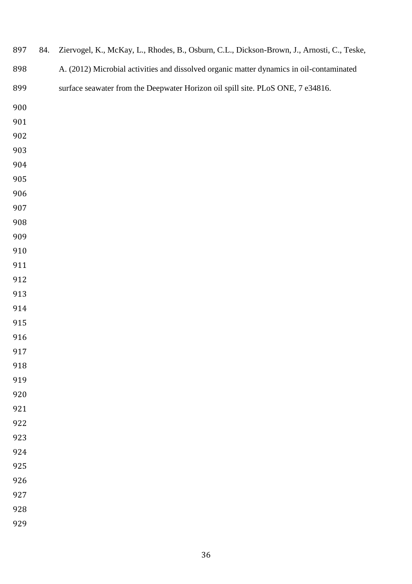| 897 | 84. | Ziervogel, K., McKay, L., Rhodes, B., Osburn, C.L., Dickson-Brown, J., Arnosti, C., Teske, |
|-----|-----|--------------------------------------------------------------------------------------------|
| 898 |     | A. (2012) Microbial activities and dissolved organic matter dynamics in oil-contaminated   |
| 899 |     | surface seawater from the Deepwater Horizon oil spill site. PLoS ONE, 7 e34816.            |
| 900 |     |                                                                                            |
| 901 |     |                                                                                            |
| 902 |     |                                                                                            |
| 903 |     |                                                                                            |
| 904 |     |                                                                                            |
| 905 |     |                                                                                            |
| 906 |     |                                                                                            |
| 907 |     |                                                                                            |
| 908 |     |                                                                                            |
| 909 |     |                                                                                            |
| 910 |     |                                                                                            |
| 911 |     |                                                                                            |
| 912 |     |                                                                                            |
| 913 |     |                                                                                            |
| 914 |     |                                                                                            |
| 915 |     |                                                                                            |
| 916 |     |                                                                                            |
| 917 |     |                                                                                            |
| 918 |     |                                                                                            |
| 919 |     |                                                                                            |
| 920 |     |                                                                                            |
| 921 |     |                                                                                            |
| 922 |     |                                                                                            |
| 923 |     |                                                                                            |
| 924 |     |                                                                                            |
| 925 |     |                                                                                            |
| 926 |     |                                                                                            |
| 927 |     |                                                                                            |
| 928 |     |                                                                                            |
| 929 |     |                                                                                            |